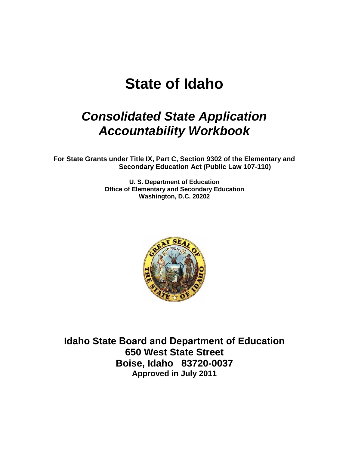# **State of Idaho**

# *Consolidated State Application Accountability Workbook*

**For State Grants under Title IX, Part C, Section 9302 of the Elementary and Secondary Education Act (Public Law 107-110)**

> **U. S. Department of Education Office of Elementary and Secondary Education Washington, D.C. 20202**



**Idaho State Board and Department of Education 650 West State Street Boise, Idaho 83720-0037 Approved in July 2011**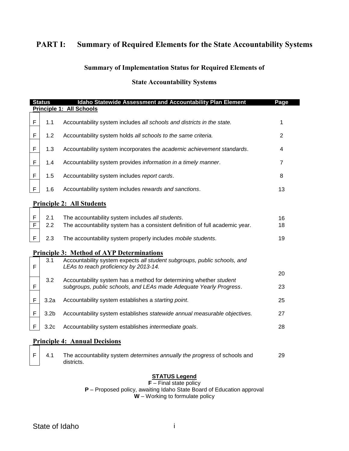# **PART I: Summary of Required Elements for the State Accountability Systems**

#### **Summary of Implementation Status for Required Elements of**

#### **State Accountability Systems**

|   | <b>Status</b>    | Idaho Statewide Assessment and Accountability Plan Element                                                                               | Page           |
|---|------------------|------------------------------------------------------------------------------------------------------------------------------------------|----------------|
|   |                  | <b>Principle 1: All Schools</b>                                                                                                          |                |
| F | 1.1              | Accountability system includes all schools and districts in the state.                                                                   | 1              |
| F | 1.2              | Accountability system holds all schools to the same criteria.                                                                            | $\overline{2}$ |
| F | 1.3              | Accountability system incorporates the academic achievement standards.                                                                   | 4              |
| F | 1.4              | Accountability system provides information in a timely manner.                                                                           | 7              |
| F | 1.5              | Accountability system includes report cards.                                                                                             | 8              |
| F | 1.6              | Accountability system includes rewards and sanctions.                                                                                    | 13             |
|   |                  | <b>Principle 2: All Students</b>                                                                                                         |                |
| F | 2.1              | The accountability system includes all students.                                                                                         |                |
| F | 2.2              | The accountability system has a consistent definition of full academic year.                                                             | 16<br>18       |
| F | 2.3              | The accountability system properly includes mobile students.                                                                             | 19             |
|   |                  | <b>Principle 3: Method of AYP Determinations</b>                                                                                         |                |
| F | 3.1              | Accountability system expects all student subgroups, public schools, and<br>LEAs to reach proficiency by 2013-14.                        |                |
|   |                  |                                                                                                                                          | 20             |
| F | 3.2              | Accountability system has a method for determining whether student<br>subgroups, public schools, and LEAs made Adequate Yearly Progress. | 23             |
| F | 3.2a             | Accountability system establishes a starting point.                                                                                      | 25             |
| F | 3.2 <sub>b</sub> | Accountability system establishes statewide annual measurable objectives.                                                                | 27             |
| F | 3.2 <sub>c</sub> | Accountability system establishes intermediate goals.                                                                                    | 28             |
|   |                  | <b>Principle 4: Annual Decisions</b>                                                                                                     |                |

F 4.1 The accountability system *determines annually the progress* of schools and districts. 29

#### **STATUS Legend**

**F** – Final state policy **P** – Proposed policy, awaiting Idaho State Board of Education approval **W** – Working to formulate policy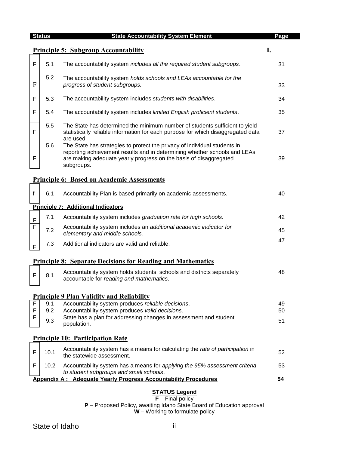|                     | <b>Status</b> | <b>State Accountability System Element</b>                                                                                                                                                                                                | Page |
|---------------------|---------------|-------------------------------------------------------------------------------------------------------------------------------------------------------------------------------------------------------------------------------------------|------|
|                     |               | <b>Principle 5: Subgroup Accountability</b>                                                                                                                                                                                               | I.   |
| F                   | 5.1           | The accountability system includes all the required student subgroups.                                                                                                                                                                    | 31   |
| $\mathbf{F}$        | 5.2           | The accountability system holds schools and LEAs accountable for the<br>progress of student subgroups.                                                                                                                                    | 33   |
| F                   | 5.3           | The accountability system includes students with disabilities.                                                                                                                                                                            | 34   |
| F                   | 5.4           | The accountability system includes limited English proficient students.                                                                                                                                                                   | 35   |
| F                   | 5.5           | The State has determined the minimum number of students sufficient to yield<br>statistically reliable information for each purpose for which disaggregated data<br>are used.                                                              | 37   |
| F                   | 5.6           | The State has strategies to protect the privacy of individual students in<br>reporting achievement results and in determining whether schools and LEAs<br>are making adequate yearly progress on the basis of disaggregated<br>subgroups. | 39   |
|                     |               | <b>Principle 6: Based on Academic Assessments</b>                                                                                                                                                                                         |      |
| $\mathsf{f}$        | 6.1           | Accountability Plan is based primarily on academic assessments.                                                                                                                                                                           | 40   |
|                     |               | <b>Principle 7: Additional Indicators</b>                                                                                                                                                                                                 |      |
| $\mathsf F$         | 7.1           | Accountability system includes graduation rate for high schools.                                                                                                                                                                          | 42   |
| F                   | 7.2           | Accountability system includes an additional academic indicator for<br>elementary and middle schools.                                                                                                                                     | 45   |
| $\mathsf{F}$        | 7.3           | Additional indicators are valid and reliable.                                                                                                                                                                                             | 47   |
|                     |               | <b>Principle 8: Separate Decisions for Reading and Mathematics</b>                                                                                                                                                                        |      |
| F                   | 8.1           | Accountability system holds students, schools and districts separately<br>accountable for reading and mathematics.                                                                                                                        | 48   |
|                     |               | <b>Principle 9 Plan Validity and Reliability</b>                                                                                                                                                                                          |      |
| F                   | 9.1           | Accountability system produces reliable decisions.                                                                                                                                                                                        | 49   |
| $\overline{F}$<br>F | 9.2           | Accountability system produces valid decisions.<br>State has a plan for addressing changes in assessment and student                                                                                                                      | 50   |
|                     | 9.3           | population.                                                                                                                                                                                                                               | 51   |
|                     |               | <b>Principle 10: Participation Rate</b>                                                                                                                                                                                                   |      |
| F                   | 10.1          | Accountability system has a means for calculating the rate of participation in<br>the statewide assessment.                                                                                                                               | 52   |
| F                   | 10.2          | Accountability system has a means for applying the 95% assessment criteria<br>to student subgroups and small schools.                                                                                                                     | 53   |
|                     |               | <b>Appendix A: Adequate Yearly Progress Accountability Procedures</b>                                                                                                                                                                     | 54   |
|                     |               | <b>STATUS Legend</b><br>$F$ – Final policy                                                                                                                                                                                                |      |

٠

**P** – Proposed Policy, awaiting Idaho State Board of Education approval **W** – Working to formulate policy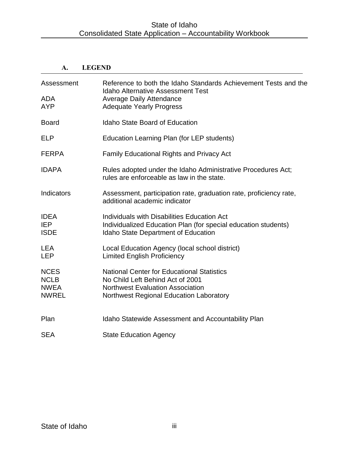# **A. LEGEND**

| Assessment<br><b>ADA</b><br><b>AYP</b>                    | Reference to both the Idaho Standards Achievement Tests and the<br><b>Idaho Alternative Assessment Test</b><br><b>Average Daily Attendance</b><br><b>Adequate Yearly Progress</b> |
|-----------------------------------------------------------|-----------------------------------------------------------------------------------------------------------------------------------------------------------------------------------|
| <b>Board</b>                                              | <b>Idaho State Board of Education</b>                                                                                                                                             |
| <b>ELP</b>                                                | Education Learning Plan (for LEP students)                                                                                                                                        |
| <b>FERPA</b>                                              | <b>Family Educational Rights and Privacy Act</b>                                                                                                                                  |
| <b>IDAPA</b>                                              | Rules adopted under the Idaho Administrative Procedures Act;<br>rules are enforceable as law in the state.                                                                        |
| Indicators                                                | Assessment, participation rate, graduation rate, proficiency rate,<br>additional academic indicator                                                                               |
| <b>IDEA</b><br><b>IEP</b><br><b>ISDE</b>                  | Individuals with Disabilities Education Act<br>Individualized Education Plan (for special education students)<br><b>Idaho State Department of Education</b>                       |
| <b>LEA</b><br><b>LEP</b>                                  | Local Education Agency (local school district)<br><b>Limited English Proficiency</b>                                                                                              |
| <b>NCES</b><br><b>NCLB</b><br><b>NWEA</b><br><b>NWREL</b> | <b>National Center for Educational Statistics</b><br>No Child Left Behind Act of 2001<br><b>Northwest Evaluation Association</b><br>Northwest Regional Education Laboratory       |
| Plan                                                      | Idaho Statewide Assessment and Accountability Plan                                                                                                                                |
| <b>SEA</b>                                                | <b>State Education Agency</b>                                                                                                                                                     |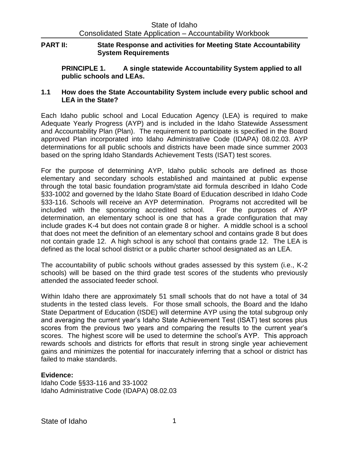### **PART II: State Response and activities for Meeting State Accountability System Requirements**

**PRINCIPLE 1. A single statewide Accountability System applied to all public schools and LEAs.**

# **1.1 How does the State Accountability System include every public school and LEA in the State?**

Each Idaho public school and Local Education Agency (LEA) is required to make Adequate Yearly Progress (AYP) and is included in the Idaho Statewide Assessment and Accountability Plan (Plan). The requirement to participate is specified in the Board approved Plan incorporated into Idaho Administrative Code (IDAPA) 08.02.03. AYP determinations for all public schools and districts have been made since summer 2003 based on the spring Idaho Standards Achievement Tests (ISAT) test scores.

For the purpose of determining AYP, Idaho public schools are defined as those elementary and secondary schools established and maintained at public expense through the total basic foundation program/state aid formula described in Idaho Code §33-1002 and governed by the Idaho State Board of Education described in Idaho Code §33-116. Schools will receive an AYP determination. Programs not accredited will be included with the sponsoring accredited school. For the purposes of AYP determination, an elementary school is one that has a grade configuration that may include grades K-4 but does not contain grade 8 or higher. A middle school is a school that does not meet the definition of an elementary school and contains grade 8 but does not contain grade 12. A high school is any school that contains grade 12. The LEA is defined as the local school district or a public charter school designated as an LEA.

The accountability of public schools without grades assessed by this system (i.e., K-2 schools) will be based on the third grade test scores of the students who previously attended the associated feeder school.

Within Idaho there are approximately 51 small schools that do not have a total of 34 students in the tested class levels. For those small schools, the Board and the Idaho State Department of Education (ISDE) will determine AYP using the total subgroup only and averaging the current year's Idaho State Achievement Test (ISAT) test scores plus scores from the previous two years and comparing the results to the current year's scores. The highest score will be used to determine the school's AYP. This approach rewards schools and districts for efforts that result in strong single year achievement gains and minimizes the potential for inaccurately inferring that a school or district has failed to make standards.

# **Evidence:**

Idaho Code §§33-116 and 33-1002 Idaho Administrative Code (IDAPA) 08.02.03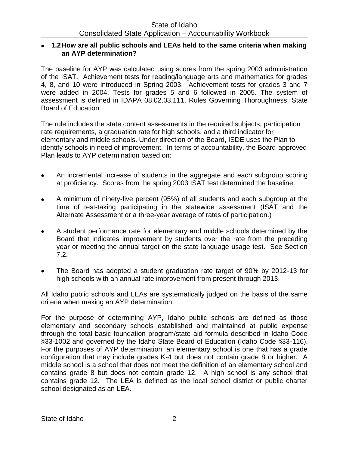#### **1.2How are all public schools and LEAs held to the same criteria when making an AYP determination?**

The baseline for AYP was calculated using scores from the spring 2003 administration of the ISAT. Achievement tests for reading/language arts and mathematics for grades 4, 8, and 10 were introduced in Spring 2003. Achievement tests for grades 3 and 7 were added in 2004. Tests for grades 5 and 6 followed in 2005. The system of assessment is defined in IDAPA 08.02.03.111, Rules Governing Thoroughness, State Board of Education.

The rule includes the state content assessments in the required subjects, participation rate requirements, a graduation rate for high schools, and a third indicator for elementary and middle schools. Under direction of the Board, ISDE uses the Plan to identify schools in need of improvement. In terms of accountability, the Board-approved Plan leads to AYP determination based on:

- An incremental increase of students in the aggregate and each subgroup scoring  $\bullet$ at proficiency. Scores from the spring 2003 ISAT test determined the baseline.
- A minimum of ninety-five percent (95%) of all students and each subgroup at the time of test-taking participating in the statewide assessment (ISAT and the Alternate Assessment or a three-year average of rates of participation.)
- A student performance rate for elementary and middle schools determined by the Board that indicates improvement by students over the rate from the preceding year or meeting the annual target on the state language usage test. See Section 7.2.
- The Board has adopted a student graduation rate target of 90% by 2012-13 for high schools with an annual rate improvement from present through 2013.

All Idaho public schools and LEAs are systematically judged on the basis of the same criteria when making an AYP determination.

For the purpose of determining AYP, Idaho public schools are defined as those elementary and secondary schools established and maintained at public expense through the total basic foundation program/state aid formula described in Idaho Code §33-1002 and governed by the Idaho State Board of Education (Idaho Code §33-116). For the purposes of AYP determination, an elementary school is one that has a grade configuration that may include grades K-4 but does not contain grade 8 or higher. A middle school is a school that does not meet the definition of an elementary school and contains grade 8 but does not contain grade 12. A high school is any school that contains grade 12. The LEA is defined as the local school district or public charter school designated as an LEA.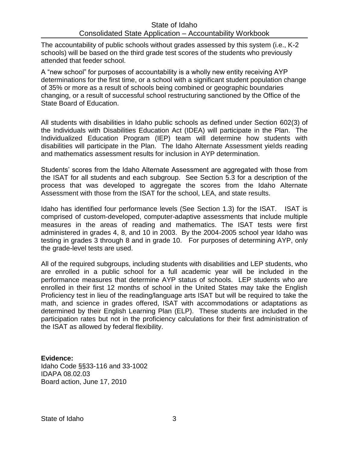The accountability of public schools without grades assessed by this system (i.e., K-2 schools) will be based on the third grade test scores of the students who previously attended that feeder school.

A "new school" for purposes of accountability is a wholly new entity receiving AYP determinations for the first time, or a school with a significant student population change of 35% or more as a result of schools being combined or geographic boundaries changing, or a result of successful school restructuring sanctioned by the Office of the State Board of Education.

All students with disabilities in Idaho public schools as defined under Section 602(3) of the Individuals with Disabilities Education Act (IDEA) will participate in the Plan. The Individualized Education Program (IEP) team will determine how students with disabilities will participate in the Plan. The Idaho Alternate Assessment yields reading and mathematics assessment results for inclusion in AYP determination.

Students' scores from the Idaho Alternate Assessment are aggregated with those from the ISAT for all students and each subgroup. See Section 5.3 for a description of the process that was developed to aggregate the scores from the Idaho Alternate Assessment with those from the ISAT for the school, LEA, and state results.

Idaho has identified four performance levels (See Section 1.3) for the ISAT. ISAT is comprised of custom-developed, computer-adaptive assessments that include multiple measures in the areas of reading and mathematics. The ISAT tests were first administered in grades 4, 8, and 10 in 2003. By the 2004-2005 school year Idaho was testing in grades 3 through 8 and in grade 10. For purposes of determining AYP, only the grade-level tests are used.

All of the required subgroups, including students with disabilities and LEP students, who are enrolled in a public school for a full academic year will be included in the performance measures that determine AYP status of schools. LEP students who are enrolled in their first 12 months of school in the United States may take the English Proficiency test in lieu of the reading/language arts ISAT but will be required to take the math, and science in grades offered, ISAT with accommodations or adaptations as determined by their English Learning Plan (ELP). These students are included in the participation rates but not in the proficiency calculations for their first administration of the ISAT as allowed by federal flexibility.

**Evidence:** Idaho Code §§33-116 and 33-1002 IDAPA 08.02.03 Board action, June 17, 2010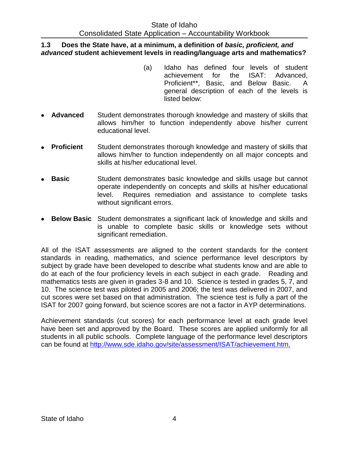#### **1.3 Does the State have, at a minimum, a definition of** *basic, proficient, and advanced* **student achievement levels in reading/language arts and mathematics?**

- (a) Idaho has defined four levels of student achievement for the ISAT: Advanced, Proficient\*\*, Basic, and Below Basic. A general description of each of the levels is listed below:
- **Advanced** Student demonstrates thorough knowledge and mastery of skills that allows him/her to function independently above his/her current educational level.
- **Proficient** Student demonstrates thorough knowledge and mastery of skills that allows him/her to function independently on all major concepts and skills at his/her educational level.
- **Basic** Student demonstrates basic knowledge and skills usage but cannot operate independently on concepts and skills at his/her educational level. Requires remediation and assistance to complete tasks without significant errors.
- **Below Basic** Student demonstrates a significant lack of knowledge and skills and is unable to complete basic skills or knowledge sets without significant remediation.

All of the ISAT assessments are aligned to the content standards for the content standards in reading, mathematics, and science performance level descriptors by subject by grade have been developed to describe what students know and are able to do at each of the four proficiency levels in each subject in each grade. Reading and mathematics tests are given in grades 3-8 and 10. Science is tested in grades 5, 7, and 10. The science test was piloted in 2005 and 2006; the test was delivered in 2007, and cut scores were set based on that administration. The science test is fully a part of the ISAT for 2007 going forward, but science scores are not a factor in AYP determinations.

Achievement standards (cut scores) for each performance level at each grade level have been set and approved by the Board. These scores are applied uniformly for all students in all public schools. Complete language of the performance level descriptors can be found at [http://www.sde.idaho.gov/site/assessment/ISAT/achievement.htm.](http://www.sde.idaho.gov/site/assessment/ISAT/achievement.htm)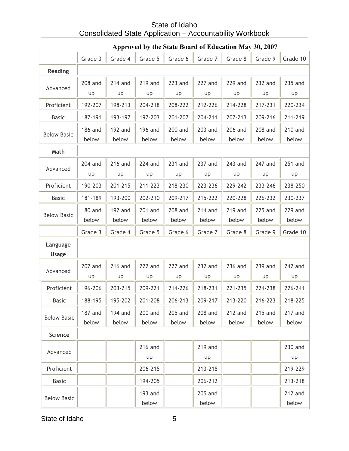|                          | Grade 3                 | Grade 4                 | Grade 5                 | Grade 6                 | Grade 7                 | Grade 8                 | Grade 9          | Grade 10                |
|--------------------------|-------------------------|-------------------------|-------------------------|-------------------------|-------------------------|-------------------------|------------------|-------------------------|
| <b>Reading</b>           |                         |                         |                         |                         |                         |                         |                  |                         |
| Advanced                 | 208 and<br>up           | $214$ and<br>up         | 219 and<br>up           | 223 and<br>up           | 227 and<br>up           | 229 and<br>up           | 232 and<br>up    | 235 and<br>up           |
| Proficient               | 192-207                 | 198-213                 | 204-218                 | 208-222                 | 212-226                 | 214-228                 | 217-231          | 220-234                 |
| <b>Basic</b>             | 187-191                 | 193-197                 | 197-203                 | 201-207                 | 204-211                 | 207-213                 | 209-216          | 211-219                 |
| <b>Below Basic</b>       | 186 and<br>below        | <b>192 and</b><br>below | <b>196 and</b><br>below | <b>200 and</b><br>below | 203 and<br>below        | 206 and<br>below        | 208 and<br>below | <b>210 and</b><br>below |
| Math                     |                         |                         |                         |                         |                         |                         |                  |                         |
| Advanced                 | 204 and<br>up           | 216 and<br>up           | <b>224 and</b><br>up    | 231 and<br>up           | 237 and<br>up           | 243 and<br>up           | 247 and<br>up    | 251 and<br>up           |
| Proficient               | 190-203                 | 201-215                 | 211-223                 | 218-230                 | 223-236                 | 229-242                 | 233-246          | 238-250                 |
| <b>Basic</b>             | 181-189                 | 193-200                 | 202-210                 | 209-217                 | 215-222                 | 220-228                 | 226-232          | 230-237                 |
| <b>Below Basic</b>       | <b>180 and</b><br>below | 192 and<br>below        | 201 and<br>below        | 208 and<br>below        | <b>214 and</b><br>below | 219 and<br>below        | 225 and<br>below | <b>229 and</b><br>below |
|                          | Grade 3                 | Grade 4                 | Grade 5                 | Grade 6                 | Grade 7                 | Grade 8                 | Grade 9          | Grade 10                |
| Language<br><b>Usage</b> |                         |                         |                         |                         |                         |                         |                  |                         |
| Advanced                 | 207 and<br>up           | <b>216 and</b><br>up    | 222 and<br>up           | 227 and<br>up           | 232 and<br>up           | 236 and<br>up           | 239 and<br>up    | 242 and<br>up           |
| Proficient               | 196-206                 | 203-215                 | 209-221                 | 214-226                 | 218-231                 | 221-235                 | 224-238          | 226-241                 |
| <b>Basic</b>             | 188-195                 | 195-202                 | 201-208                 | 206-213                 | 209-217                 | 213-220                 | 216-223          | 218-225                 |
| <b>Below Basic</b>       | 187 and<br>below        | <b>194 and</b><br>below | <b>200 and</b><br>below | 205 and<br>below        | 208 and<br>below        | <b>212 and</b><br>below | 215 and<br>below | 217 and<br>below        |
| <b>Science</b>           |                         |                         |                         |                         |                         |                         |                  |                         |
| Advanced                 |                         |                         | 216 and<br>up           |                         | 219 and<br>up           |                         |                  | 230 and<br>up           |
| Proficient               |                         |                         | 206-215                 |                         | 213-218                 |                         |                  | 219-229                 |
| <b>Basic</b>             |                         |                         | 194-205                 |                         | 206-212                 |                         |                  | 213-218                 |
| <b>Below Basic</b>       |                         |                         | 193 and<br>below        |                         | 205 and<br>below        |                         |                  | 212 and<br>below        |

# **Approved by the State Board of Education May 30, 2007**

State of Idaho 5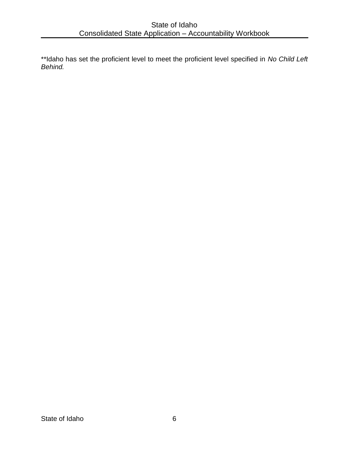\*\*Idaho has set the proficient level to meet the proficient level specified in *No Child Left Behind.*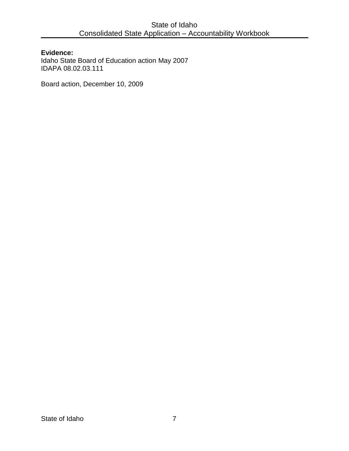#### **Evidence:**

Idaho State Board of Education action May 2007 IDAPA 08.02.03.111

Board action, December 10, 2009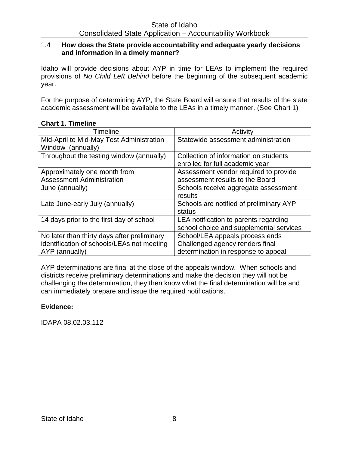#### 1.4 **How does the State provide accountability and adequate yearly decisions and information in a timely manner?**

Idaho will provide decisions about AYP in time for LEAs to implement the required provisions of *No Child Left Behind* before the beginning of the subsequent academic year.

For the purpose of determining AYP, the State Board will ensure that results of the state academic assessment will be available to the LEAs in a timely manner. (See Chart 1)

#### **Chart 1. Timeline**

| Timeline                                    | Activity                                |
|---------------------------------------------|-----------------------------------------|
| Mid-April to Mid-May Test Administration    | Statewide assessment administration     |
| Window (annually)                           |                                         |
| Throughout the testing window (annually)    | Collection of information on students   |
|                                             | enrolled for full academic year         |
| Approximately one month from                | Assessment vendor required to provide   |
| <b>Assessment Administration</b>            | assessment results to the Board         |
| June (annually)                             | Schools receive aggregate assessment    |
|                                             | results                                 |
| Late June-early July (annually)             | Schools are notified of preliminary AYP |
|                                             | status                                  |
| 14 days prior to the first day of school    | LEA notification to parents regarding   |
|                                             | school choice and supplemental services |
| No later than thirty days after preliminary | School/LEA appeals process ends         |
| identification of schools/LEAs not meeting  | Challenged agency renders final         |
| AYP (annually)                              | determination in response to appeal     |

AYP determinations are final at the close of the appeals window. When schools and districts receive preliminary determinations and make the decision they will not be challenging the determination, they then know what the final determination will be and can immediately prepare and issue the required notifications.

#### **Evidence:**

IDAPA 08.02.03.112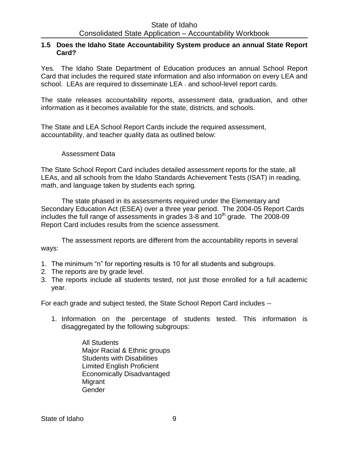#### **1.5 Does the Idaho State Accountability System produce an annual State Report Card?**

Yes. The Idaho State Department of Education produces an annual School Report Card that includes the required state information and also information on every LEA and school. LEAs are required to disseminate LEA - and school-level report cards.

The state releases accountability reports, assessment data, graduation, and other information as it becomes available for the state, districts, and schools.

The State and LEA School Report Cards include the required assessment, accountability, and teacher quality data as outlined below:

#### Assessment Data

The State School Report Card includes detailed assessment reports for the state, all LEAs, and all schools from the Idaho Standards Achievement Tests (ISAT) in reading, math, and language taken by students each spring.

The state phased in its assessments required under the Elementary and Secondary Education Act (ESEA) over a three year period. The 2004-05 Report Cards includes the full range of assessments in grades  $3-8$  and  $10<sup>th</sup>$  grade. The 2008-09 Report Card includes results from the science assessment.

The assessment reports are different from the accountability reports in several ways:

- 1. The minimum "n" for reporting results is 10 for all students and subgroups.
- 2. The reports are by grade level.
- 3. The reports include all students tested, not just those enrolled for a full academic year.

For each grade and subject tested, the State School Report Card includes --

- 1. Information on the percentage of students tested. This information is disaggregated by the following subgroups:
	- All Students Major Racial & Ethnic groups Students with Disabilities Limited English Proficient Economically Disadvantaged Migrant Gender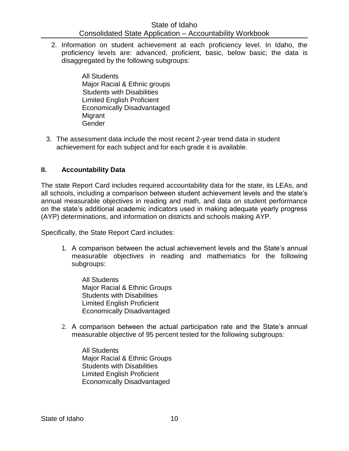2. Information on student achievement at each proficiency level. In Idaho, the proficiency levels are: advanced, proficient, basic, below basic; the data is disaggregated by the following subgroups:

> All Students Major Racial & Ethnic groups Students with Disabilities Limited English Proficient Economically Disadvantaged **Migrant** Gender

3. The assessment data include the most recent 2-year trend data in student achievement for each subject and for each grade it is available.

#### **II. Accountability Data**

The state Report Card includes required accountability data for the state, its LEAs, and all schools, including a comparison between student achievement levels and the state's annual measurable objectives in reading and math, and data on student performance on the state's additional academic indicators used in making adequate yearly progress (AYP) determinations, and information on districts and schools making AYP.

Specifically, the State Report Card includes:

1. A comparison between the actual achievement levels and the State's annual measurable objectives in reading and mathematics for the following subgroups:

All Students Major Racial & Ethnic Groups Students with Disabilities Limited English Proficient Economically Disadvantaged

2. A comparison between the actual participation rate and the State's annual measurable objective of 95 percent tested for the following subgroups:

All Students Major Racial & Ethnic Groups Students with Disabilities Limited English Proficient Economically Disadvantaged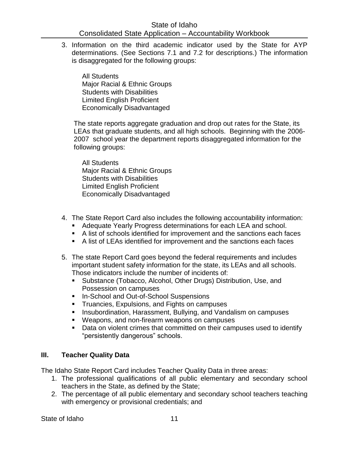3. Information on the third academic indicator used by the State for AYP determinations. (See Sections 7.1 and 7.2 for descriptions.) The information is disaggregated for the following groups:

All Students Major Racial & Ethnic Groups Students with Disabilities Limited English Proficient Economically Disadvantaged

The state reports aggregate graduation and drop out rates for the State, its LEAs that graduate students, and all high schools. Beginning with the 2006- 2007 school year the department reports disaggregated information for the following groups:

All Students Major Racial & Ethnic Groups Students with Disabilities Limited English Proficient Economically Disadvantaged

- 4. The State Report Card also includes the following accountability information:
	- Adequate Yearly Progress determinations for each LEA and school.
	- A list of schools identified for improvement and the sanctions each faces
	- A list of LEAs identified for improvement and the sanctions each faces
- 5. The state Report Card goes beyond the federal requirements and includes important student safety information for the state, its LEAs and all schools. Those indicators include the number of incidents of:
	- Substance (Tobacco, Alcohol, Other Drugs) Distribution, Use, and Possession on campuses
	- **In-School and Out-of-School Suspensions**
	- **Truancies, Expulsions, and Fights on campuses**
	- **Insubordination, Harassment, Bullying, and Vandalism on campuses**
	- Weapons, and non-firearm weapons on campuses
	- Data on violent crimes that committed on their campuses used to identify "persistently dangerous" schools.

# **III. Teacher Quality Data**

The Idaho State Report Card includes Teacher Quality Data in three areas:

- 1. The professional qualifications of all public elementary and secondary school teachers in the State, as defined by the State;
- 2. The percentage of all public elementary and secondary school teachers teaching with emergency or provisional credentials; and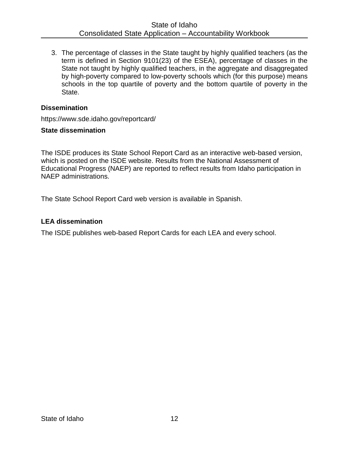3. The percentage of classes in the State taught by highly qualified teachers (as the term is defined in Section 9101(23) of the ESEA), percentage of classes in the State not taught by highly qualified teachers, in the aggregate and disaggregated by high-poverty compared to low-poverty schools which (for this purpose) means schools in the top quartile of poverty and the bottom quartile of poverty in the State.

#### **Dissemination**

https://www.sde.idaho.gov/reportcard/

#### **State dissemination**

The ISDE produces its State School Report Card as an interactive web-based version, which is posted on the ISDE website. Results from the National Assessment of Educational Progress (NAEP) are reported to reflect results from Idaho participation in NAEP administrations.

The State School Report Card web version is available in Spanish.

# **LEA dissemination**

The ISDE publishes web-based Report Cards for each LEA and every school.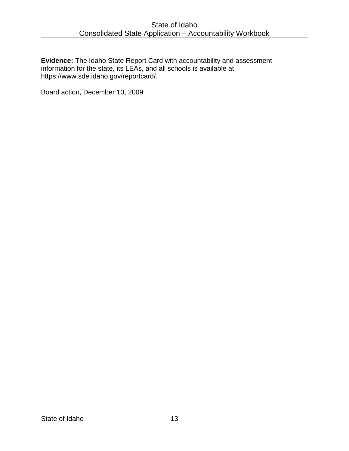**Evidence:** The Idaho State Report Card with accountability and assessment information for the state, its LEAs, and all schools is available at https://www.sde.idaho.gov/reportcard/.

Board action, December 10, 2009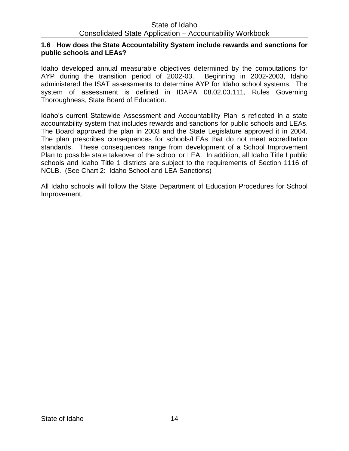#### **1.6 How does the State Accountability System include rewards and sanctions for public schools and LEAs?**

Idaho developed annual measurable objectives determined by the computations for AYP during the transition period of 2002-03. Beginning in 2002-2003, Idaho administered the ISAT assessments to determine AYP for Idaho school systems. The system of assessment is defined in IDAPA 08.02.03.111, Rules Governing Thoroughness, State Board of Education.

Idaho's current Statewide Assessment and Accountability Plan is reflected in a state accountability system that includes rewards and sanctions for public schools and LEAs. The Board approved the plan in 2003 and the State Legislature approved it in 2004. The plan prescribes consequences for schools/LEAs that do not meet accreditation standards. These consequences range from development of a School Improvement Plan to possible state takeover of the school or LEA. In addition, all Idaho Title I public schools and Idaho Title 1 districts are subject to the requirements of Section 1116 of NCLB. (See Chart 2: Idaho School and LEA Sanctions)

All Idaho schools will follow the State Department of Education Procedures for School Improvement.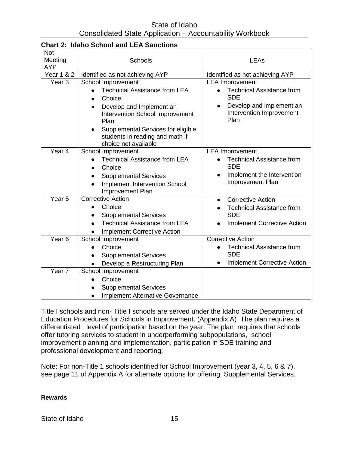| <b>Not</b><br>Meeting<br><b>AYP</b> | <b>Schools</b>                                                                                                                                                                                                                                            | LEAs                                                                                                                                     |
|-------------------------------------|-----------------------------------------------------------------------------------------------------------------------------------------------------------------------------------------------------------------------------------------------------------|------------------------------------------------------------------------------------------------------------------------------------------|
| <b>Year 1 &amp; 2</b>               | Identified as not achieving AYP                                                                                                                                                                                                                           | Identified as not achieving AYP                                                                                                          |
| Year <sub>3</sub>                   | School Improvement<br><b>Technical Assistance from LEA</b><br>Choice<br>$\bullet$<br>Develop and Implement an<br>Intervention School Improvement<br>Plan<br>Supplemental Services for eligible<br>students in reading and math if<br>choice not available | <b>LEA Improvement</b><br><b>Technical Assistance from</b><br><b>SDE</b><br>Develop and implement an<br>Intervention Improvement<br>Plan |
| Year <sub>4</sub>                   | School Improvement<br><b>Technical Assistance from LEA</b><br>Choice<br><b>Supplemental Services</b><br>Implement Intervention School<br>Improvement Plan                                                                                                 | <b>LEA Improvement</b><br><b>Technical Assistance from</b><br><b>SDE</b><br>Implement the Intervention<br>٠<br>Improvement Plan          |
| Year <sub>5</sub>                   | <b>Corrective Action</b><br>Choice<br><b>Supplemental Services</b><br><b>Technical Assistance from LEA</b><br><b>Implement Corrective Action</b>                                                                                                          | <b>Corrective Action</b><br>$\bullet$<br><b>Technical Assistance from</b><br><b>SDE</b><br><b>Implement Corrective Action</b>            |
| Year <sub>6</sub>                   | School Improvement<br>Choice<br><b>Supplemental Services</b><br>Develop a Restructuring Plan                                                                                                                                                              | <b>Corrective Action</b><br><b>Technical Assistance from</b><br><b>SDE</b><br><b>Implement Corrective Action</b>                         |
| Year <sub>7</sub>                   | School Improvement<br>Choice<br><b>Supplemental Services</b><br><b>Implement Alternative Governance</b><br>$\bullet$                                                                                                                                      |                                                                                                                                          |

# **Chart 2: Idaho School and LEA Sanctions**

Title I schools and non- Title I schools are served under the Idaho State Department of Education Procedures for Schools in Improvement. (Appendix A) The plan requires a differentiated level of participation based on the year. The plan requires that schools offer tutoring services to student in underperforming subpopulations, school improvement planning and implementation, participation in SDE training and professional development and reporting.

Note: For non-Title 1 schools identified for School Improvement (year 3, 4, 5, 6 & 7), see page 11 of Appendix A for alternate options for offering Supplemental Services.

**Rewards**

State of Idaho 15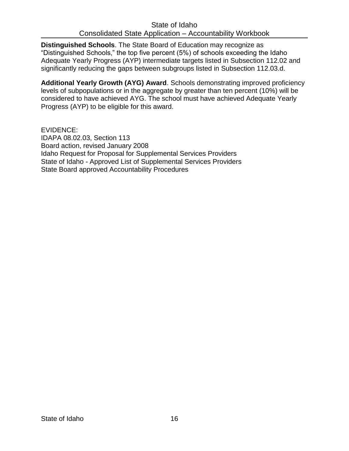**Distinguished Schools**. The State Board of Education may recognize as "Distinguished Schools," the top five percent (5%) of schools exceeding the Idaho Adequate Yearly Progress (AYP) intermediate targets listed in Subsection 112.02 and significantly reducing the gaps between subgroups listed in Subsection 112.03.d.

**Additional Yearly Growth (AYG) Award**. Schools demonstrating improved proficiency levels of subpopulations or in the aggregate by greater than ten percent (10%) will be considered to have achieved AYG. The school must have achieved Adequate Yearly Progress (AYP) to be eligible for this award.

EVIDENCE: IDAPA 08.02.03, Section 113 Board action, revised January 2008 Idaho Request for Proposal for Supplemental Services Providers State of Idaho - Approved List of Supplemental Services Providers State Board approved Accountability Procedures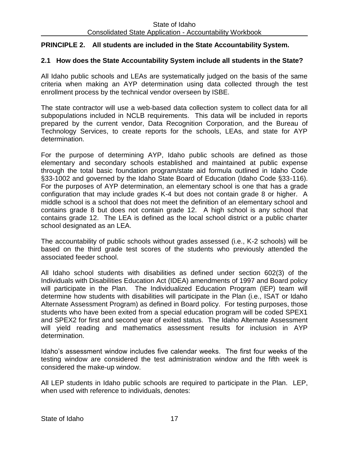# **PRINCIPLE 2. All students are included in the State Accountability System.**

# **2.1 How does the State Accountability System include all students in the State?**

All Idaho public schools and LEAs are systematically judged on the basis of the same criteria when making an AYP determination using data collected through the test enrollment process by the technical vendor overseen by ISBE.

The state contractor will use a web-based data collection system to collect data for all subpopulations included in NCLB requirements. This data will be included in reports prepared by the current vendor, Data Recognition Corporation, and the Bureau of Technology Services, to create reports for the schools, LEAs, and state for AYP determination.

For the purpose of determining AYP, Idaho public schools are defined as those elementary and secondary schools established and maintained at public expense through the total basic foundation program/state aid formula outlined in Idaho Code §33-1002 and governed by the Idaho State Board of Education (Idaho Code §33-116). For the purposes of AYP determination, an elementary school is one that has a grade configuration that may include grades K-4 but does not contain grade 8 or higher. A middle school is a school that does not meet the definition of an elementary school and contains grade 8 but does not contain grade 12. A high school is any school that contains grade 12. The LEA is defined as the local school district or a public charter school designated as an LEA.

The accountability of public schools without grades assessed (i.e., K-2 schools) will be based on the third grade test scores of the students who previously attended the associated feeder school.

All Idaho school students with disabilities as defined under section 602(3) of the Individuals with Disabilities Education Act (IDEA) amendments of 1997 and Board policy will participate in the Plan. The Individualized Education Program (IEP) team will determine how students with disabilities will participate in the Plan (i.e., ISAT or Idaho Alternate Assessment Program) as defined in Board policy. For testing purposes, those students who have been exited from a special education program will be coded SPEX1 and SPEX2 for first and second year of exited status. The Idaho Alternate Assessment will yield reading and mathematics assessment results for inclusion in AYP determination.

Idaho's assessment window includes five calendar weeks. The first four weeks of the testing window are considered the test administration window and the fifth week is considered the make-up window.

All LEP students in Idaho public schools are required to participate in the Plan. LEP, when used with reference to individuals, denotes: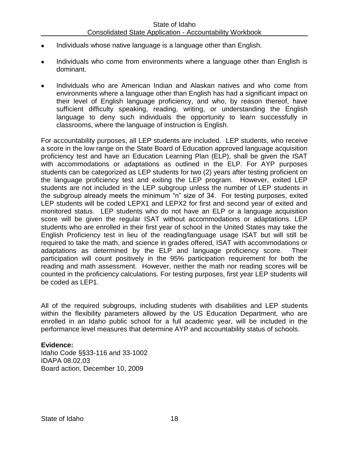- Individuals whose native language is a language other than English.
- Individuals who come from environments where a language other than English is dominant.
- Individuals who are American Indian and Alaskan natives and who come from environments where a language other than English has had a significant impact on their level of English language proficiency, and who, by reason thereof, have sufficient difficulty speaking, reading, writing, or understanding the English language to deny such individuals the opportunity to learn successfully in classrooms, where the language of instruction is English.

For accountability purposes, all LEP students are included. LEP students, who receive a score in the low range on the State Board of Education approved language acquisition proficiency test and have an Education Learning Plan (ELP), shall be given the ISAT with accommodations or adaptations as outlined in the ELP. For AYP purposes students can be categorized as LEP students for two (2) years after testing proficient on the language proficiency test and exiting the LEP program. However, exited LEP students are not included in the LEP subgroup unless the number of LEP students in the subgroup already meets the minimum "n" size of 34. For testing purposes, exited LEP students will be coded LEPX1 and LEPX2 for first and second year of exited and monitored status. LEP students who do not have an ELP or a language acquisition score will be given the regular ISAT without accommodations or adaptations. LEP students who are enrolled in their first year of school in the United States may take the English Proficiency test in lieu of the reading/language usage ISAT but will still be required to take the math, and science in grades offered, ISAT with accommodations or adaptations as determined by the ELP and language proficiency score. Their participation will count positively in the 95% participation requirement for both the reading and math assessment. However, neither the math nor reading scores will be counted in the proficiency calculations. For testing purposes, first year LEP students will be coded as LEP1.

All of the required subgroups, including students with disabilities and LEP students within the flexibility parameters allowed by the US Education Department, who are enrolled in an Idaho public school for a full academic year, will be included in the performance level measures that determine AYP and accountability status of schools.

#### **Evidence:**

Idaho Code §§33-116 and 33-1002 IDAPA 08.02.03 Board action, December 10, 2009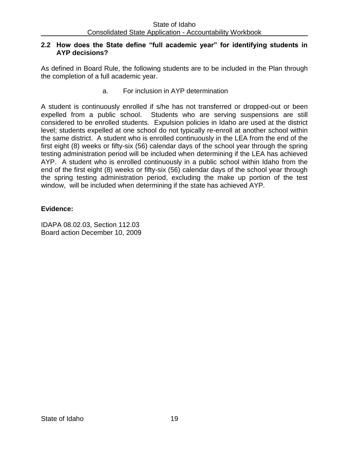### **2.2 How does the State define "full academic year" for identifying students in AYP decisions?**

As defined in Board Rule, the following students are to be included in the Plan through the completion of a full academic year.

a. For inclusion in AYP determination

A student is continuously enrolled if s/he has not transferred or dropped-out or been expelled from a public school. Students who are serving suspensions are still considered to be enrolled students. Expulsion policies in Idaho are used at the district level; students expelled at one school do not typically re-enroll at another school within the same district. A student who is enrolled continuously in the LEA from the end of the first eight (8) weeks or fifty-six (56) calendar days of the school year through the spring testing administration period will be included when determining if the LEA has achieved AYP. A student who is enrolled continuously in a public school within Idaho from the end of the first eight (8) weeks or fifty-six (56) calendar days of the school year through the spring testing administration period, excluding the make up portion of the test window, will be included when determining if the state has achieved AYP.

# **Evidence:**

IDAPA 08.02.03, Section 112.03 Board action December 10, 2009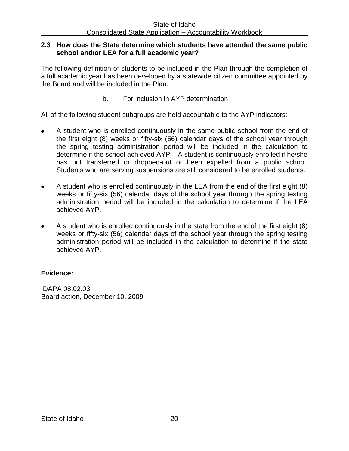#### **2.3 How does the State determine which students have attended the same public school and/or LEA for a full academic year?**

The following definition of students to be included in the Plan through the completion of a full academic year has been developed by a statewide citizen committee appointed by the Board and will be included in the Plan.

b. For inclusion in AYP determination

All of the following student subgroups are held accountable to the AYP indicators:

- A student who is enrolled continuously in the same public school from the end of the first eight (8) weeks or fifty-six (56) calendar days of the school year through the spring testing administration period will be included in the calculation to determine if the school achieved AYP. A student is continuously enrolled if he/she has not transferred or dropped-out or been expelled from a public school. Students who are serving suspensions are still considered to be enrolled students.
- A student who is enrolled continuously in the LEA from the end of the first eight (8)  $\bullet$ weeks or fifty-six (56) calendar days of the school year through the spring testing administration period will be included in the calculation to determine if the LEA achieved AYP.
- A student who is enrolled continuously in the state from the end of the first eight (8) weeks or fifty-six (56) calendar days of the school year through the spring testing administration period will be included in the calculation to determine if the state achieved AYP.

# **Evidence:**

IDAPA 08.02.03 Board action, December 10, 2009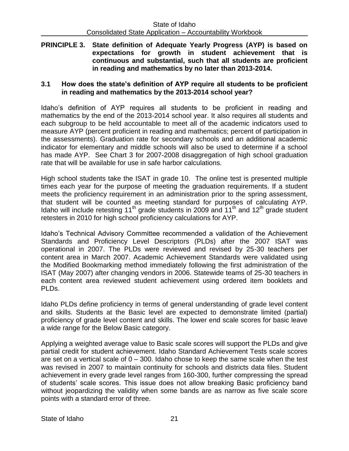**PRINCIPLE 3. State definition of Adequate Yearly Progress (AYP) is based on expectations for growth in student achievement that is continuous and substantial, such that all students are proficient in reading and mathematics by no later than 2013-2014.**

### **3.1 How does the state's definition of AYP require all students to be proficient in reading and mathematics by the 2013-2014 school year?**

Idaho's definition of AYP requires all students to be proficient in reading and mathematics by the end of the 2013-2014 school year. It also requires all students and each subgroup to be held accountable to meet all of the academic indicators used to measure AYP (percent proficient in reading and mathematics; percent of participation in the assessments). Graduation rate for secondary schools and an additional academic indicator for elementary and middle schools will also be used to determine if a school has made AYP. See Chart 3 for 2007-2008 disaggregation of high school graduation rate that will be available for use in safe harbor calculations.

High school students take the ISAT in grade 10. The online test is presented multiple times each year for the purpose of meeting the graduation requirements. If a student meets the proficiency requirement in an administration prior to the spring assessment, that student will be counted as meeting standard for purposes of calculating AYP. Idaho will include retesting 11<sup>th</sup> grade students in 2009 and  $11<sup>th</sup>$  and  $12<sup>th</sup>$  grade student retesters in 2010 for high school proficiency calculations for AYP.

Idaho's Technical Advisory Committee recommended a validation of the Achievement Standards and Proficiency Level Descriptors (PLDs) after the 2007 ISAT was operational in 2007. The PLDs were reviewed and revised by 25-30 teachers per content area in March 2007. Academic Achievement Standards were validated using the Modified Bookmarking method immediately following the first administration of the ISAT (May 2007) after changing vendors in 2006. Statewide teams of 25-30 teachers in each content area reviewed student achievement using ordered item booklets and PLDs.

Idaho PLDs define proficiency in terms of general understanding of grade level content and skills. Students at the Basic level are expected to demonstrate limited (partial) proficiency of grade level content and skills. The lower end scale scores for basic leave a wide range for the Below Basic category.

Applying a weighted average value to Basic scale scores will support the PLDs and give partial credit for student achievement. Idaho Standard Achievement Tests scale scores are set on a vertical scale of  $0 - 300$ . Idaho chose to keep the same scale when the test was revised in 2007 to maintain continuity for schools and districts data files. Student achievement in every grade level ranges from 160-300, further compressing the spread of students' scale scores. This issue does not allow breaking Basic proficiency band without jeopardizing the validity when some bands are as narrow as five scale score points with a standard error of three.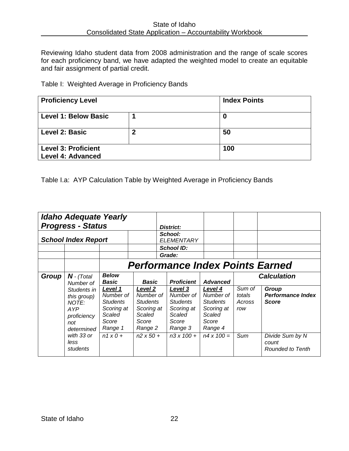Reviewing Idaho student data from 2008 administration and the range of scale scores for each proficiency band, we have adapted the weighted model to create an equitable and fair assignment of partial credit.

# Table I: Weighted Average in Proficiency Bands

| <b>Proficiency Level</b>    |   | <b>Index Points</b> |
|-----------------------------|---|---------------------|
| <b>Level 1: Below Basic</b> |   | 0                   |
| Level 2: Basic              | 2 | 50                  |
| <b>Level 3: Proficient</b>  |   | 100                 |
| <b>Level 4: Advanced</b>    |   |                     |

Table I.a: AYP Calculation Table by Weighted Average in Proficiency Bands

|                            | <b>Idaho Adequate Yearly</b><br><b>Progress - Status</b>                                                                                                                                                                                                                                                                                                 |  |                                                                                           | District:                                                                                                                     |                                                                                                                             |                                          |                                                                                                                         |
|----------------------------|----------------------------------------------------------------------------------------------------------------------------------------------------------------------------------------------------------------------------------------------------------------------------------------------------------------------------------------------------------|--|-------------------------------------------------------------------------------------------|-------------------------------------------------------------------------------------------------------------------------------|-----------------------------------------------------------------------------------------------------------------------------|------------------------------------------|-------------------------------------------------------------------------------------------------------------------------|
| <b>School Index Report</b> |                                                                                                                                                                                                                                                                                                                                                          |  |                                                                                           | <b>School:</b><br><b>ELEMENTARY</b>                                                                                           |                                                                                                                             |                                          |                                                                                                                         |
|                            |                                                                                                                                                                                                                                                                                                                                                          |  | <b>School ID:</b><br>Grade:                                                               |                                                                                                                               |                                                                                                                             |                                          |                                                                                                                         |
| Group                      | <b>Performance Index Points Earned</b><br><b>Below</b><br>$N$ - (Total<br>Basic<br>Number of<br>Level 1<br>Level 2<br>Students in<br>Number of<br>this group)<br><b>Students</b><br>NOTE:<br>Scoring at<br>AYP<br>Scaled<br>Scaled<br>proficiency<br>Score<br>Score<br>not<br>Range 1<br>determined<br>with 33 or<br>$n1 \times 0 +$<br>less<br>students |  | <b>Basic</b><br>Number of<br><b>Students</b><br>Scoring at<br>Range 2<br>$n2 \times 50 +$ | <b>Proficient</b><br>Level 3<br>Number of<br><b>Students</b><br>Scoring at<br>Scaled<br>Score<br>Range 3<br>$n3 \times 100 +$ | <b>Advanced</b><br>Level 4<br>Number of<br><b>Students</b><br>Scoring at<br>Scaled<br>Score<br>Range 4<br>$n4 \times 100 =$ | Sum of<br>totals<br>Across<br>row<br>Sum | <b>Calculation</b><br>Group<br><b>Performance Index</b><br><b>Score</b><br>Divide Sum by N<br>count<br>Rounded to Tenth |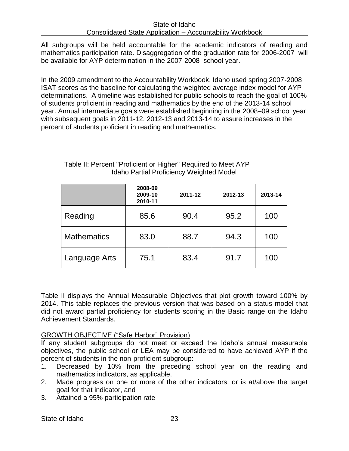All subgroups will be held accountable for the academic indicators of reading and mathematics participation rate. Disaggregation of the graduation rate for 2006-2007 will be available for AYP determination in the 2007-2008 school year.

In the 2009 amendment to the Accountability Workbook, Idaho used spring 2007-2008 ISAT scores as the baseline for calculating the weighted average index model for AYP determinations. A timeline was established for public schools to reach the goal of 100% of students proficient in reading and mathematics by the end of the 2013-14 school year. Annual intermediate goals were established beginning in the 2008–09 school year with subsequent goals in 2011-12, 2012-13 and 2013-14 to assure increases in the percent of students proficient in reading and mathematics.

|                    | 2008-09<br>2009-10<br>2010-11 | 2011-12 | 2012-13 | 2013-14 |
|--------------------|-------------------------------|---------|---------|---------|
| Reading            | 85.6                          | 90.4    | 95.2    | 100     |
| <b>Mathematics</b> | 83.0                          | 88.7    | 94.3    | 100     |
| Language Arts      | 75.1                          | 83.4    | 91.7    | 100     |

# Table II: Percent "Proficient or Higher" Required to Meet AYP Idaho Partial Proficiency Weighted Model

Table II displays the Annual Measurable Objectives that plot growth toward 100% by 2014. This table replaces the previous version that was based on a status model that did not award partial proficiency for students scoring in the Basic range on the Idaho Achievement Standards.

# GROWTH OBJECTIVE ("Safe Harbor" Provision)

If any student subgroups do not meet or exceed the Idaho's annual measurable objectives, the public school or LEA may be considered to have achieved AYP if the percent of students in the non-proficient subgroup:

- 1. Decreased by 10% from the preceding school year on the reading and mathematics indicators, as applicable,
- 2. Made progress on one or more of the other indicators, or is at/above the target goal for that indicator, and
- 3. Attained a 95% participation rate

State of Idaho 23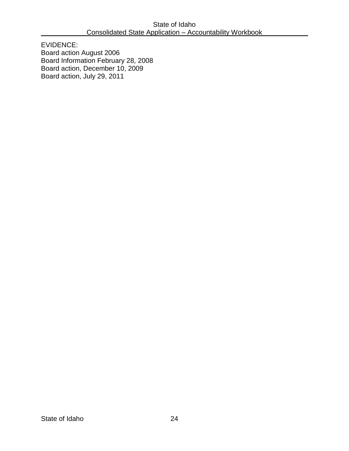EVIDENCE: Board action August 2006 Board Information February 28, 2008 Board action, December 10, 2009 Board action, July 29, 2011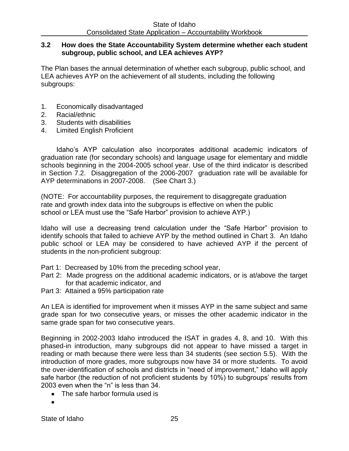#### **3.2 How does the State Accountability System determine whether each student subgroup, public school, and LEA achieves AYP?**

The Plan bases the annual determination of whether each subgroup, public school, and LEA achieves AYP on the achievement of all students, including the following subgroups:

- 1. Economically disadvantaged
- 2. Racial/ethnic
- 3. Students with disabilities
- 4. Limited English Proficient

Idaho's AYP calculation also incorporates additional academic indicators of graduation rate (for secondary schools) and language usage for elementary and middle schools beginning in the 2004-2005 school year. Use of the third indicator is described in Section 7.2. Disaggregation of the 2006-2007 graduation rate will be available for AYP determinations in 2007-2008. (See Chart 3.)

(NOTE: For accountability purposes, the requirement to disaggregate graduation rate and growth index data into the subgroups is effective on when the public school or LEA must use the "Safe Harbor" provision to achieve AYP.)

Idaho will use a decreasing trend calculation under the "Safe Harbor" provision to identify schools that failed to achieve AYP by the method outlined in Chart 3. An Idaho public school or LEA may be considered to have achieved AYP if the percent of students in the non-proficient subgroup:

- Part 1: Decreased by 10% from the preceding school year,
- Part 2: Made progress on the additional academic indicators, or is at/above the target for that academic indicator, and
- Part 3: Attained a 95% participation rate

An LEA is identified for improvement when it misses AYP in the same subject and same grade span for two consecutive years, or misses the other academic indicator in the same grade span for two consecutive years.

Beginning in 2002-2003 Idaho introduced the ISAT in grades 4, 8, and 10. With this phased-in introduction, many subgroups did not appear to have missed a target in reading or math because there were less than 34 students (see section 5.5). With the introduction of more grades, more subgroups now have 34 or more students. To avoid the over-identification of schools and districts in "need of improvement," Idaho will apply safe harbor (the reduction of not proficient students by 10%) to subgroups' results from 2003 even when the "n" is less than 34.

- The safe harbor formula used is
-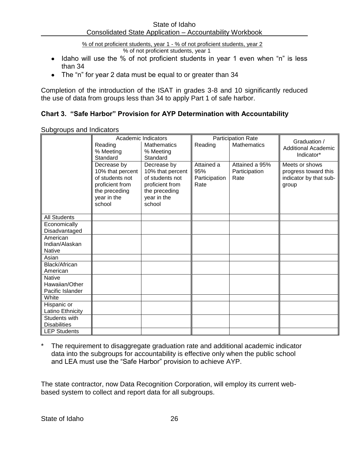% of not proficient students, year 1 - % of not proficient students, year 2

% of not proficient students, year 1

- Idaho will use the % of not proficient students in year 1 even when "n" is less than 34
- The "n" for year 2 data must be equal to or greater than 34

Completion of the introduction of the ISAT in grades 3-8 and 10 significantly reduced the use of data from groups less than 34 to apply Part 1 of safe harbor.

# **Chart 3. "Safe Harbor" Provision for AYP Determination with Accountability**

|                                    | Academic Indicators          |                              |               | <b>Participation Rate</b> |                                            |
|------------------------------------|------------------------------|------------------------------|---------------|---------------------------|--------------------------------------------|
|                                    | Reading                      | <b>Mathematics</b>           | Reading       | <b>Mathematics</b>        | Graduation /<br><b>Additional Academic</b> |
|                                    | % Meeting                    | % Meeting                    |               |                           | Indicator*                                 |
|                                    | Standard                     | Standard                     |               |                           |                                            |
|                                    | Decrease by                  | Decrease by                  | Attained a    | Attained a 95%            | Meets or shows                             |
|                                    | 10% that percent             | 10% that percent             | 95%           | Participation             | progress toward this                       |
|                                    | of students not              | of students not              | Participation | Rate                      | indicator by that sub-                     |
|                                    | proficient from              | proficient from              | Rate          |                           | group                                      |
|                                    | the preceding<br>year in the | the preceding<br>year in the |               |                           |                                            |
|                                    | school                       | school                       |               |                           |                                            |
|                                    |                              |                              |               |                           |                                            |
| <b>All Students</b>                |                              |                              |               |                           |                                            |
| Economically                       |                              |                              |               |                           |                                            |
| Disadvantaged                      |                              |                              |               |                           |                                            |
| American                           |                              |                              |               |                           |                                            |
| Indian/Alaskan                     |                              |                              |               |                           |                                            |
| <b>Native</b>                      |                              |                              |               |                           |                                            |
| Asian                              |                              |                              |               |                           |                                            |
| Black/African                      |                              |                              |               |                           |                                            |
| American                           |                              |                              |               |                           |                                            |
| <b>Native</b>                      |                              |                              |               |                           |                                            |
| Hawaiian/Other<br>Pacific Islander |                              |                              |               |                           |                                            |
| White                              |                              |                              |               |                           |                                            |
| Hispanic or                        |                              |                              |               |                           |                                            |
| Latino Ethnicity                   |                              |                              |               |                           |                                            |
| Students with                      |                              |                              |               |                           |                                            |
| <b>Disabilities</b>                |                              |                              |               |                           |                                            |
| <b>LEP Students</b>                |                              |                              |               |                           |                                            |

Subgroups and Indicators

The requirement to disaggregate graduation rate and additional academic indicator data into the subgroups for accountability is effective only when the public school and LEA must use the "Safe Harbor" provision to achieve AYP.

The state contractor, now Data Recognition Corporation, will employ its current webbased system to collect and report data for all subgroups.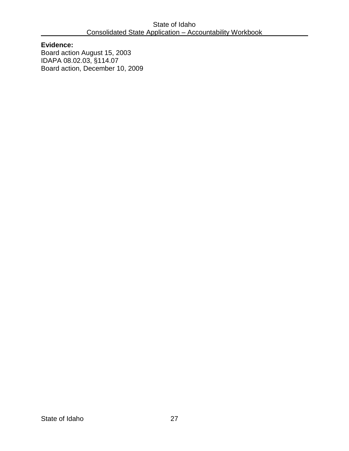**Evidence:**  Board action August 15, 2003 IDAPA 08.02.03, §114.07 Board action, December 10, 2009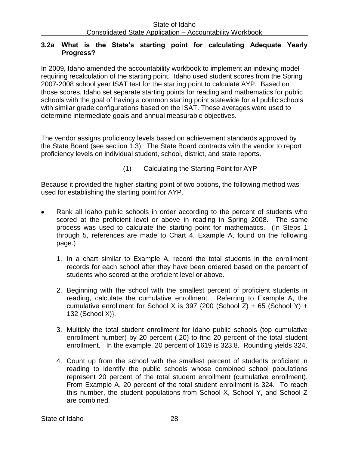# **3.2a What is the State's starting point for calculating Adequate Yearly Progress?**

In 2009, Idaho amended the accountability workbook to implement an indexing model requiring recalculation of the starting point. Idaho used student scores from the Spring 2007-2008 school year ISAT test for the starting point to calculate AYP. Based on those scores, Idaho set separate starting points for reading and mathematics for public schools with the goal of having a common starting point statewide for all public schools with similar grade configurations based on the ISAT. These averages were used to determine intermediate goals and annual measurable objectives.

The vendor assigns proficiency levels based on achievement standards approved by the State Board (see section 1.3). The State Board contracts with the vendor to report proficiency levels on individual student, school, district, and state reports.

(1) Calculating the Starting Point for AYP

Because it provided the higher starting point of two options, the following method was used for establishing the starting point for AYP.

- Rank all Idaho public schools in order according to the percent of students who scored at the proficient level or above in reading in Spring 2008. The same process was used to calculate the starting point for mathematics. (In Steps 1 through 5, references are made to Chart 4, Example A, found on the following page.)
	- 1. In a chart similar to Example A, record the total students in the enrollment records for each school after they have been ordered based on the percent of students who scored at the proficient level or above.
	- 2. Beginning with the school with the smallest percent of proficient students in reading, calculate the cumulative enrollment. Referring to Example A, the cumulative enrollment for School X is 397  $\{200 \text{ (School Z)} + 65 \text{ (School Y)} +$ 132 (School X)}.
	- 3. Multiply the total student enrollment for Idaho public schools (top cumulative enrollment number) by 20 percent (.20) to find 20 percent of the total student enrollment. In the example, 20 percent of 1619 is 323.8. Rounding yields 324.
	- 4. Count up from the school with the smallest percent of students proficient in reading to identify the public schools whose combined school populations represent 20 percent of the total student enrollment (cumulative enrollment). From Example A, 20 percent of the total student enrollment is 324. To reach this number, the student populations from School X, School Y, and School Z are combined.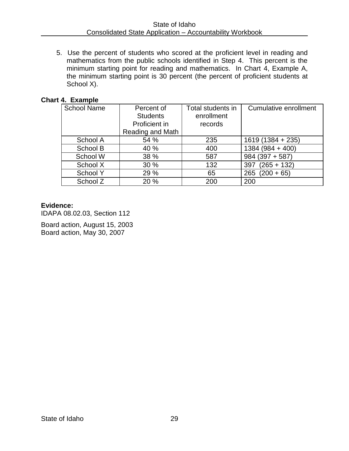5. Use the percent of students who scored at the proficient level in reading and mathematics from the public schools identified in Step 4. This percent is the minimum starting point for reading and mathematics. In Chart 4, Example A, the minimum starting point is 30 percent (the percent of proficient students at School X).

# **Chart 4. Example**

| <b>School Name</b> | Percent of<br><b>Students</b> | Total students in<br>enrollment | <b>Cumulative enrollment</b> |
|--------------------|-------------------------------|---------------------------------|------------------------------|
|                    | Proficient in                 | records                         |                              |
|                    | Reading and Math              |                                 |                              |
| School A           | 54 %                          | 235                             | $1619(1384 + 235)$           |
| School B           | 40 %                          | 400                             | $1384(984 + 400)$            |
| School W           | 38 %                          | 587                             | $984(397+587)$               |
| School X           | 30 %                          | 132                             | $(265 + 132)$<br>397         |
| School Y           | 29 %                          | 65                              | $265$ $(200 + 65)$           |
| School Z           | 20 %                          | 200                             | 200                          |

#### **Evidence:**

IDAPA 08.02.03, Section 112

Board action, August 15, 2003 Board action, May 30, 2007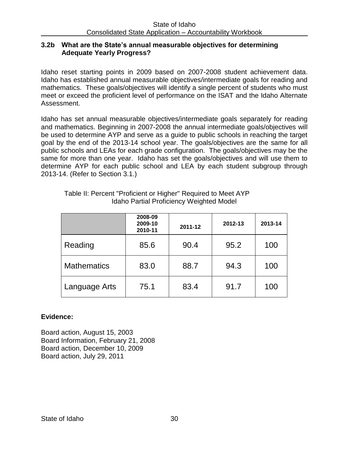#### **3.2b What are the State's annual measurable objectives for determining Adequate Yearly Progress?**

Idaho reset starting points in 2009 based on 2007-2008 student achievement data. Idaho has established annual measurable objectives/intermediate goals for reading and mathematics. These goals/objectives will identify a single percent of students who must meet or exceed the proficient level of performance on the ISAT and the Idaho Alternate Assessment.

Idaho has set annual measurable objectives/intermediate goals separately for reading and mathematics. Beginning in 2007-2008 the annual intermediate goals/objectives will be used to determine AYP and serve as a guide to public schools in reaching the target goal by the end of the 2013-14 school year. The goals/objectives are the same for all public schools and LEAs for each grade configuration. The goals/objectives may be the same for more than one year. Idaho has set the goals/objectives and will use them to determine AYP for each public school and LEA by each student subgroup through 2013-14. (Refer to Section 3.1.)

|                    | 2008-09<br>2009-10<br>2010-11 | 2011-12 | 2012-13 | 2013-14 |
|--------------------|-------------------------------|---------|---------|---------|
| Reading            | 85.6                          | 90.4    | 95.2    | 100     |
| <b>Mathematics</b> | 83.0                          | 88.7    | 94.3    | 100     |
| Language Arts      | 75.1                          | 83.4    | 91.7    | 100     |

Table II: Percent "Proficient or Higher" Required to Meet AYP Idaho Partial Proficiency Weighted Model

# **Evidence:**

Board action, August 15, 2003 Board Information, February 21, 2008 Board action, December 10, 2009 Board action, July 29, 2011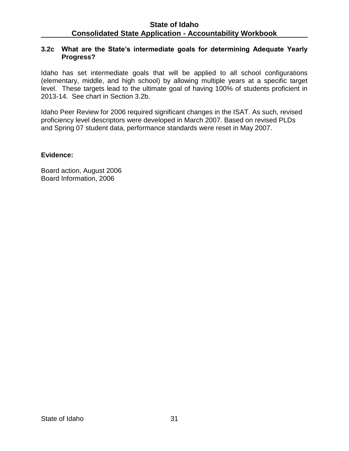#### **3.2c What are the State's intermediate goals for determining Adequate Yearly Progress?**

Idaho has set intermediate goals that will be applied to all school configurations (elementary, middle, and high school) by allowing multiple years at a specific target level. These targets lead to the ultimate goal of having 100% of students proficient in 2013-14. See chart in Section 3.2b.

Idaho Peer Review for 2006 required significant changes in the ISAT. As such, revised proficiency level descriptors were developed in March 2007. Based on revised PLDs and Spring 07 student data, performance standards were reset in May 2007.

#### **Evidence:**

Board action, August 2006 Board Information, 2006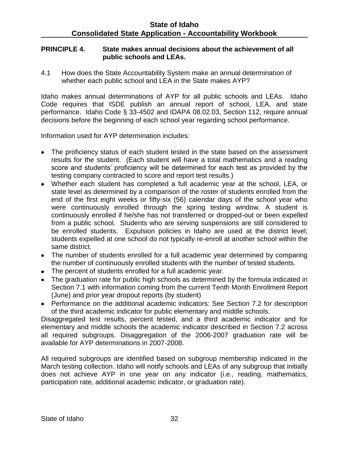#### **PRINCIPLE 4. State makes annual decisions about the achievement of all public schools and LEAs.**

4.1 How does the State Accountability System make an annual determination of whether each public school and LEA in the State makes AYP?

Idaho makes annual determinations of AYP for all public schools and LEAs. Idaho Code requires that ISDE publish an annual report of school, LEA, and state performance. Idaho Code § 33-4502 and IDAPA 08.02.03, Section 112, require annual decisions before the beginning of each school year regarding school performance.

Information used for AYP determination includes:

- The proficiency status of each student tested in the state based on the assessment results for the student. (Each student will have a total mathematics and a reading score and students' proficiency will be determined for each test as provided by the testing company contracted to score and report test results.)
- Whether each student has completed a full academic year at the school, LEA, or state level as determined by a comparison of the roster of students enrolled from the end of the first eight weeks or fifty-six (56) calendar days of the school year who were continuously enrolled through the spring testing window. A student is continuously enrolled if he/she has not transferred or dropped-out or been expelled from a public school. Students who are serving suspensions are still considered to be enrolled students. Expulsion policies in Idaho are used at the district level; students expelled at one school do not typically re-enroll at another school within the same district.
- The number of students enrolled for a full academic year determined by comparing the number of continuously enrolled students with the number of tested students.
- The percent of students enrolled for a full academic year.
- The graduation rate for public high schools as determined by the formula indicated in Section 7.1 with information coming from the current Tenth Month Enrollment Report (June) and prior year dropout reports (by student)
- Performance on the additional academic indicators: See Section 7.2 for description of the third academic indicator for public elementary and middle schools.

Disaggregated test results, percent tested, and a third academic indicator and for elementary and middle schools the academic indicator described in Section 7.2 across all required subgroups. Disaggregation of the 2006-2007 graduation rate will be available for AYP determinations in 2007-2008.

All required subgroups are identified based on subgroup membership indicated in the March testing collection. Idaho will notify schools and LEAs of any subgroup that initially does not achieve AYP in one year on any indicator (i.e., reading, mathematics, participation rate, additional academic indicator, or graduation rate).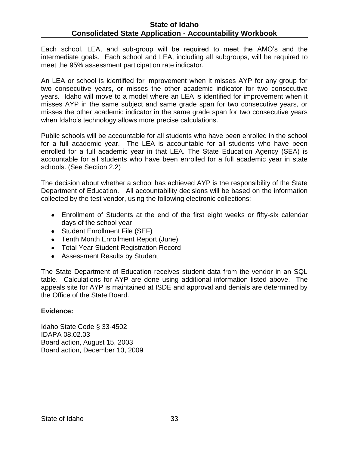Each school, LEA, and sub-group will be required to meet the AMO's and the intermediate goals. Each school and LEA, including all subgroups, will be required to meet the 95% assessment participation rate indicator.

An LEA or school is identified for improvement when it misses AYP for any group for two consecutive years, or misses the other academic indicator for two consecutive years. Idaho will move to a model where an LEA is identified for improvement when it misses AYP in the same subject and same grade span for two consecutive years, or misses the other academic indicator in the same grade span for two consecutive years when Idaho's technology allows more precise calculations.

Public schools will be accountable for all students who have been enrolled in the school for a full academic year. The LEA is accountable for all students who have been enrolled for a full academic year in that LEA. The State Education Agency (SEA) is accountable for all students who have been enrolled for a full academic year in state schools. (See Section 2.2)

The decision about whether a school has achieved AYP is the responsibility of the State Department of Education. All accountability decisions will be based on the information collected by the test vendor, using the following electronic collections:

- Enrollment of Students at the end of the first eight weeks or fifty-six calendar days of the school year
- Student Enrollment File (SEF)
- Tenth Month Enrollment Report (June)
- Total Year Student Registration Record
- Assessment Results by Student

The State Department of Education receives student data from the vendor in an SQL table. Calculations for AYP are done using additional information listed above. The appeals site for AYP is maintained at ISDE and approval and denials are determined by the Office of the State Board.

### **Evidence:**

Idaho State Code § 33-4502 IDAPA 08.02.03 Board action, August 15, 2003 Board action, December 10, 2009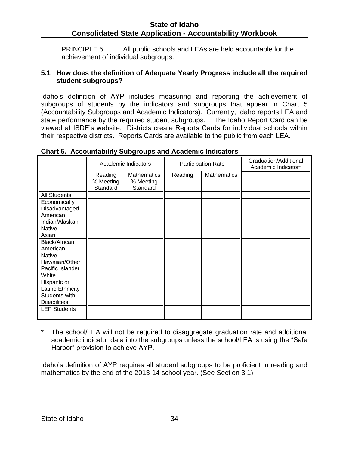PRINCIPLE 5. All public schools and LEAs are held accountable for the achievement of individual subgroups.

### **5.1 How does the definition of Adequate Yearly Progress include all the required student subgroups?**

Idaho's definition of AYP includes measuring and reporting the achievement of subgroups of students by the indicators and subgroups that appear in Chart 5 (Accountability Subgroups and Academic Indicators). Currently, Idaho reports LEA and state performance by the required student subgroups. The Idaho Report Card can be viewed at ISDE's website. Districts create Reports Cards for individual schools within their respective districts. Reports Cards are available to the public from each LEA.

|                                                     | Academic Indicators              |                                      | <b>Participation Rate</b> |                    | Graduation/Additional<br>Academic Indicator* |
|-----------------------------------------------------|----------------------------------|--------------------------------------|---------------------------|--------------------|----------------------------------------------|
|                                                     | Reading<br>% Meeting<br>Standard | Mathematics<br>% Meeting<br>Standard | Reading                   | <b>Mathematics</b> |                                              |
| <b>All Students</b>                                 |                                  |                                      |                           |                    |                                              |
| Economically<br>Disadvantaged                       |                                  |                                      |                           |                    |                                              |
| American<br>Indian/Alaskan<br><b>Native</b>         |                                  |                                      |                           |                    |                                              |
| Asian                                               |                                  |                                      |                           |                    |                                              |
| Black/African<br>American                           |                                  |                                      |                           |                    |                                              |
| <b>Native</b><br>Hawaiian/Other<br>Pacific Islander |                                  |                                      |                           |                    |                                              |
| White                                               |                                  |                                      |                           |                    |                                              |
| Hispanic or<br>Latino Ethnicity                     |                                  |                                      |                           |                    |                                              |
| Students with<br><b>Disabilities</b>                |                                  |                                      |                           |                    |                                              |
| <b>LEP Students</b>                                 |                                  |                                      |                           |                    |                                              |

### **Chart 5. Accountability Subgroups and Academic Indicators**

The school/LEA will not be required to disaggregate graduation rate and additional academic indicator data into the subgroups unless the school/LEA is using the "Safe Harbor" provision to achieve AYP.

Idaho's definition of AYP requires all student subgroups to be proficient in reading and mathematics by the end of the 2013-14 school year. (See Section 3.1)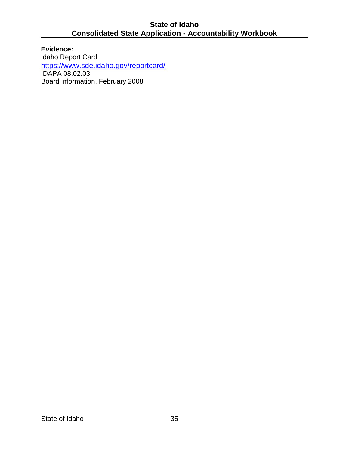**Evidence:**  Idaho Report Card <https://www.sde.idaho.gov/reportcard/> IDAPA 08.02.03 Board information, February 2008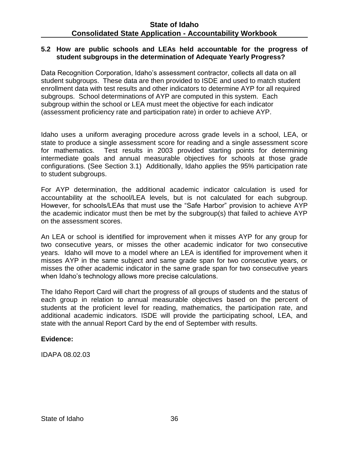#### **5.2 How are public schools and LEAs held accountable for the progress of student subgroups in the determination of Adequate Yearly Progress?**

Data Recognition Corporation, Idaho's assessment contractor, collects all data on all student subgroups. These data are then provided to ISDE and used to match student enrollment data with test results and other indicators to determine AYP for all required subgroups. School determinations of AYP are computed in this system. Each subgroup within the school or LEA must meet the objective for each indicator (assessment proficiency rate and participation rate) in order to achieve AYP.

Idaho uses a uniform averaging procedure across grade levels in a school, LEA, or state to produce a single assessment score for reading and a single assessment score for mathematics. Test results in 2003 provided starting points for determining intermediate goals and annual measurable objectives for schools at those grade configurations. (See Section 3.1) Additionally, Idaho applies the 95% participation rate to student subgroups.

For AYP determination, the additional academic indicator calculation is used for accountability at the school/LEA levels, but is not calculated for each subgroup. However, for schools/LEAs that must use the "Safe Harbor" provision to achieve AYP the academic indicator must then be met by the subgroup(s) that failed to achieve AYP on the assessment scores.

An LEA or school is identified for improvement when it misses AYP for any group for two consecutive years, or misses the other academic indicator for two consecutive years. Idaho will move to a model where an LEA is identified for improvement when it misses AYP in the same subject and same grade span for two consecutive years, or misses the other academic indicator in the same grade span for two consecutive years when Idaho's technology allows more precise calculations.

The Idaho Report Card will chart the progress of all groups of students and the status of each group in relation to annual measurable objectives based on the percent of students at the proficient level for reading, mathematics, the participation rate, and additional academic indicators. ISDE will provide the participating school, LEA, and state with the annual Report Card by the end of September with results.

### **Evidence:**

IDAPA 08.02.03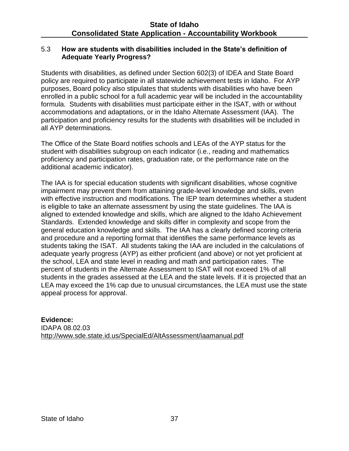## 5.3 **How are students with disabilities included in the State's definition of Adequate Yearly Progress?**

Students with disabilities, as defined under Section 602(3) of IDEA and State Board policy are required to participate in all statewide achievement tests in Idaho. For AYP purposes, Board policy also stipulates that students with disabilities who have been enrolled in a public school for a full academic year will be included in the accountability formula. Students with disabilities must participate either in the ISAT, with or without accommodations and adaptations, or in the Idaho Alternate Assessment (IAA). The participation and proficiency results for the students with disabilities will be included in all AYP determinations.

The Office of the State Board notifies schools and LEAs of the AYP status for the student with disabilities subgroup on each indicator (i.e., reading and mathematics proficiency and participation rates, graduation rate, or the performance rate on the additional academic indicator).

The IAA is for special education students with significant disabilities, whose cognitive impairment may prevent them from attaining grade-level knowledge and skills, even with effective instruction and modifications. The IEP team determines whether a student is eligible to take an alternate assessment by using the state guidelines. The IAA is aligned to extended knowledge and skills, which are aligned to the Idaho Achievement Standards. Extended knowledge and skills differ in complexity and scope from the general education knowledge and skills. The IAA has a clearly defined scoring criteria and procedure and a reporting format that identifies the same performance levels as students taking the ISAT. All students taking the IAA are included in the calculations of adequate yearly progress (AYP) as either proficient (and above) or not yet proficient at the school, LEA and state level in reading and math and participation rates. The percent of students in the Alternate Assessment to ISAT will not exceed 1% of all students in the grades assessed at the LEA and the state levels. If it is projected that an LEA may exceed the 1% cap due to unusual circumstances, the LEA must use the state appeal process for approval.

**Evidence:**  IDAPA 08.02.03 <http://www.sde.state.id.us/SpecialEd/AltAssessment/iaamanual.pdf>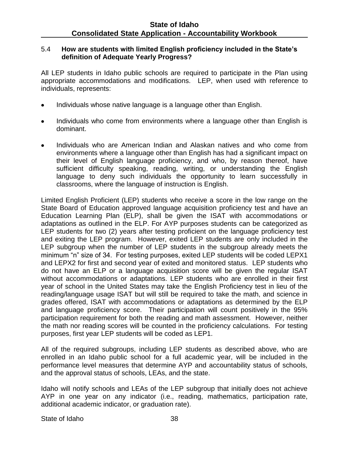### 5.4 **How are students with limited English proficiency included in the State's definition of Adequate Yearly Progress?**

All LEP students in Idaho public schools are required to participate in the Plan using appropriate accommodations and modifications. LEP, when used with reference to individuals, represents:

- Individuals whose native language is a language other than English.
- Individuals who come from environments where a language other than English is  $\bullet$ dominant.
- Individuals who are American Indian and Alaskan natives and who come from environments where a language other than English has had a significant impact on their level of English language proficiency, and who, by reason thereof, have sufficient difficulty speaking, reading, writing, or understanding the English language to deny such individuals the opportunity to learn successfully in classrooms, where the language of instruction is English.

Limited English Proficient (LEP) students who receive a score in the low range on the State Board of Education approved language acquisition proficiency test and have an Education Learning Plan (ELP), shall be given the ISAT with accommodations or adaptations as outlined in the ELP. For AYP purposes students can be categorized as LEP students for two (2) years after testing proficient on the language proficiency test and exiting the LEP program. However, exited LEP students are only included in the LEP subgroup when the number of LEP students in the subgroup already meets the minimum "n" size of 34. For testing purposes, exited LEP students will be coded LEPX1 and LEPX2 for first and second year of exited and monitored status. LEP students who do not have an ELP or a language acquisition score will be given the regular ISAT without accommodations or adaptations. LEP students who are enrolled in their first year of school in the United States may take the English Proficiency test in lieu of the reading/language usage ISAT but will still be required to take the math, and science in grades offered, ISAT with accommodations or adaptations as determined by the ELP and language proficiency score. Their participation will count positively in the 95% participation requirement for both the reading and math assessment. However, neither the math nor reading scores will be counted in the proficiency calculations. For testing purposes, first year LEP students will be coded as LEP1.

All of the required subgroups, including LEP students as described above, who are enrolled in an Idaho public school for a full academic year, will be included in the performance level measures that determine AYP and accountability status of schools, and the approval status of schools, LEAs, and the state.

Idaho will notify schools and LEAs of the LEP subgroup that initially does not achieve AYP in one year on any indicator (i.e., reading, mathematics, participation rate, additional academic indicator, or graduation rate).

### State of Idaho 38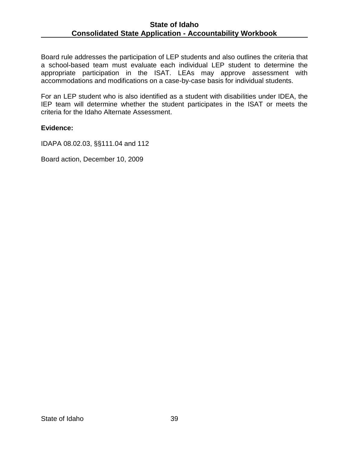Board rule addresses the participation of LEP students and also outlines the criteria that a school-based team must evaluate each individual LEP student to determine the appropriate participation in the ISAT. LEAs may approve assessment with accommodations and modifications on a case-by-case basis for individual students.

For an LEP student who is also identified as a student with disabilities under IDEA, the IEP team will determine whether the student participates in the ISAT or meets the criteria for the Idaho Alternate Assessment.

### **Evidence:**

[IDAPA 08.02.03, §§111.04 and 112](http://www2.state.id.us/adm/adminrules/rules/idapa08/0203.pdf)

Board action, December 10, 2009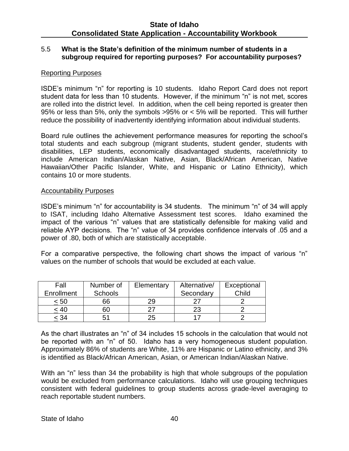### 5.5 **What is the State's definition of the minimum number of students in a subgroup required for reporting purposes? For accountability purposes?**

## Reporting Purposes

ISDE's minimum "n" for reporting is 10 students. Idaho Report Card does not report student data for less than 10 students. However, if the minimum "n" is not met, scores are rolled into the district level. In addition, when the cell being reported is greater then 95% or less than 5%, only the symbols >95% or < 5% will be reported. This will further reduce the possibility of inadvertently identifying information about individual students.

Board rule outlines the achievement performance measures for reporting the school's total students and each subgroup (migrant students, student gender, students with disabilities, LEP students, economically disadvantaged students, race/ethnicity to include American Indian/Alaskan Native, Asian, Black/African American, Native Hawaiian/Other Pacific Islander, White, and Hispanic or Latino Ethnicity), which contains 10 or more students.

### Accountability Purposes

ISDE's minimum "n" for accountability is 34 students. The minimum "n" of 34 will apply to ISAT, including Idaho Alternative Assessment test scores. Idaho examined the impact of the various "n" values that are statistically defensible for making valid and reliable AYP decisions. The "n" value of 34 provides confidence intervals of .05 and a power of .80, both of which are statistically acceptable.

For a comparative perspective, the following chart shows the impact of various "n" values on the number of schools that would be excluded at each value.

| Fall       | Number of      | Elementary | Alternative/ | Exceptional |
|------------|----------------|------------|--------------|-------------|
| Enrollment | <b>Schools</b> |            | Secondary    | Child       |
| < 50       | 66             |            |              |             |
| < 40       | SC             |            | 23           |             |
| < 34       | 51             |            |              |             |

As the chart illustrates an "n" of 34 includes 15 schools in the calculation that would not be reported with an "n" of 50. Idaho has a very homogeneous student population. Approximately 86% of students are White, 11% are Hispanic or Latino ethnicity, and 3% is identified as Black/African American, Asian, or American Indian/Alaskan Native.

With an "n" less than 34 the probability is high that whole subgroups of the population would be excluded from performance calculations. Idaho will use grouping techniques consistent with federal guidelines to group students across grade-level averaging to reach reportable student numbers.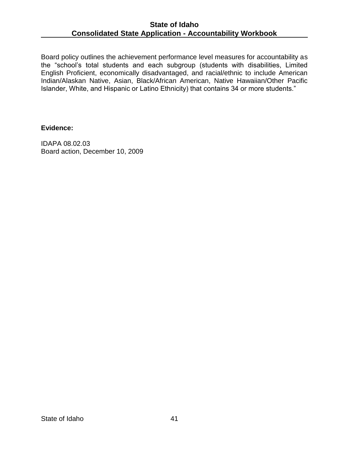Board policy outlines the achievement performance level measures for accountability as the "school's total students and each subgroup (students with disabilities, Limited English Proficient, economically disadvantaged, and racial/ethnic to include American Indian/Alaskan Native, Asian, Black/African American, Native Hawaiian/Other Pacific Islander, White, and Hispanic or Latino Ethnicity) that contains 34 or more students."

## **Evidence:**

IDAPA 08.02.03 Board action, December 10, 2009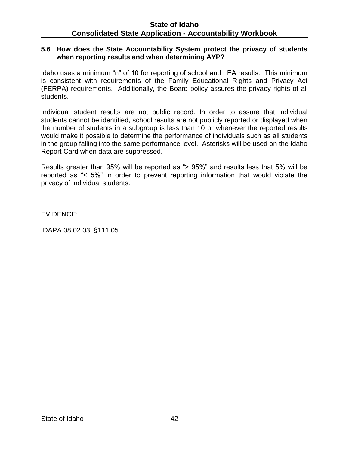#### **5.6 How does the State Accountability System protect the privacy of students when reporting results and when determining AYP?**

Idaho uses a minimum "n" of 10 for reporting of school and LEA results. This minimum is consistent with requirements of the Family Educational Rights and Privacy Act (FERPA) requirements. Additionally, the Board policy assures the privacy rights of all students.

Individual student results are not public record. In order to assure that individual students cannot be identified, school results are not publicly reported or displayed when the number of students in a subgroup is less than 10 or whenever the reported results would make it possible to determine the performance of individuals such as all students in the group falling into the same performance level. Asterisks will be used on the Idaho Report Card when data are suppressed.

Results greater than 95% will be reported as "> 95%" and results less that 5% will be reported as "< 5%" in order to prevent reporting information that would violate the privacy of individual students.

EVIDENCE:

IDAPA 08.02.03, §111.05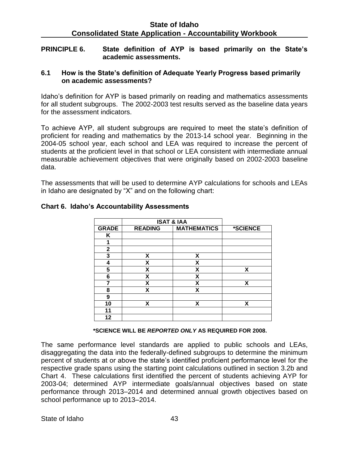#### **PRINCIPLE 6. State definition of AYP is based primarily on the State's academic assessments.**

### **6.1 How is the State's definition of Adequate Yearly Progress based primarily on academic assessments?**

Idaho's definition for AYP is based primarily on reading and mathematics assessments for all student subgroups. The 2002-2003 test results served as the baseline data years for the assessment indicators.

To achieve AYP, all student subgroups are required to meet the state's definition of proficient for reading and mathematics by the 2013-14 school year. Beginning in the 2004-05 school year, each school and LEA was required to increase the percent of students at the proficient level in that school or LEA consistent with intermediate annual measurable achievement objectives that were originally based on 2002-2003 baseline data.

The assessments that will be used to determine AYP calculations for schools and LEAs in Idaho are designated by "X" and on the following chart:

|              | <b>ISAT &amp; IAA</b> |                    |          |
|--------------|-----------------------|--------------------|----------|
| <b>GRADE</b> | <b>READING</b>        | <b>MATHEMATICS</b> | *SCIENCE |
| Κ            |                       |                    |          |
| 1            |                       |                    |          |
| $\mathbf{2}$ |                       |                    |          |
| 3            | X                     | X                  |          |
| 4            | X                     | X                  |          |
| 5            | X                     | X                  | X        |
| 6            | X                     | X                  |          |
| 7            | X                     | X                  | Χ        |
| 8            | X                     | X                  |          |
| 9            |                       |                    |          |
| 10           | X                     | X                  | X        |
| 11           |                       |                    |          |
| 12           |                       |                    |          |

## **Chart 6. Idaho's Accountability Assessments**

 **\*SCIENCE WILL BE** *REPORTED ONLY* **AS REQUIRED FOR 2008.**

The same performance level standards are applied to public schools and LEAs, disaggregating the data into the federally-defined subgroups to determine the minimum percent of students at or above the state's identified proficient performance level for the respective grade spans using the starting point calculations outlined in section 3.2b and Chart 4. These calculations first identified the percent of students achieving AYP for 2003-04; determined AYP intermediate goals/annual objectives based on state performance through 2013–2014 and determined annual growth objectives based on school performance up to 2013–2014.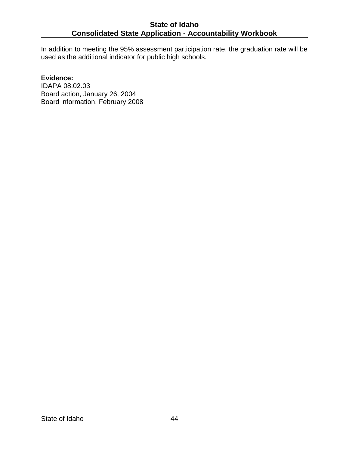In addition to meeting the 95% assessment participation rate, the graduation rate will be used as the additional indicator for public high schools.

### **Evidence:**

IDAPA 08.02.03 Board action, January 26, 2004 Board information, February 2008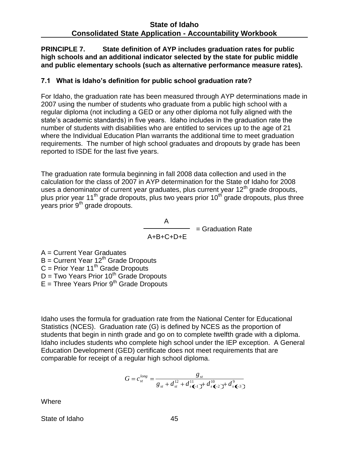**PRINCIPLE 7. State definition of AYP includes graduation rates for public high schools and an additional indicator selected by the state for public middle and public elementary schools (such as alternative performance measure rates).**

# **7.1 What is Idaho's definition for public school graduation rate?**

For Idaho, the graduation rate has been measured through AYP determinations made in 2007 using the number of students who graduate from a public high school with a regular diploma (not including a GED or any other diploma not fully aligned with the state's academic standards) in five years. Idaho includes in the graduation rate the number of students with disabilities who are entitled to services up to the age of 21 where the Individual Education Plan warrants the additional time to meet graduation requirements. The number of high school graduates and dropouts by grade has been reported to ISDE for the last five years.

The graduation rate formula beginning in fall 2008 data collection and used in the calculation for the class of 2007 in AYP determination for the State of Idaho for 2008 uses a denominator of current year graduates, plus current year  $12<sup>th</sup>$  grade dropouts, plus prior year 11<sup>th</sup> grade dropouts, plus two years prior 10<sup>th</sup> grade dropouts, plus three years prior 9<sup>th</sup> grade dropouts.

> A = Graduation Rate A+B+C+D+E

A = Current Year Graduates  $B =$  Current Year 12<sup>th</sup> Grade Dropouts  $C =$  Prior Year 11<sup>th</sup> Grade Dropouts D = Two Years Prior 10<sup>th</sup> Grade Dropouts  $E =$  Three Years Prior 9<sup>th</sup> Grade Dropouts

Idaho uses the formula for graduation rate from the National Center for Educational Statistics (NCES). Graduation rate (G) is defined by NCES as the proportion of students that begin in ninth grade and go on to complete twelfth grade with a diploma. Idaho includes students who complete high school under the IEP exception. A General Education Development (GED) certificate does not meet requirements that are comparable for receipt of a regular high school diploma.

$$
G = c_{st}^{long} = \frac{g_{st}}{g_{st} + d_{st}^{12} + d_{s}^{11} \leftarrow 1} + d_{s}^{10} \leftarrow 2} + d_{s}^{9} \leftarrow 3}
$$

Where

State of Idaho 45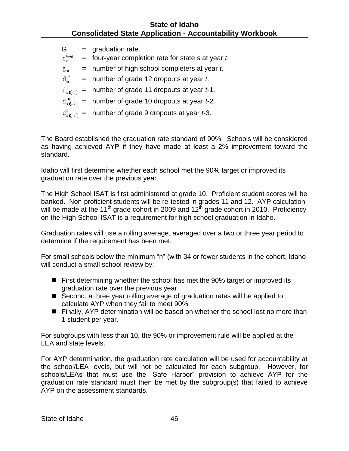| G                       | $=$ graduation rate.                                      |
|-------------------------|-----------------------------------------------------------|
| $C_{\rm st}^{\rm long}$ | $=$ four-year completion rate for state s at year t.      |
| $g_{st}$                | $=$ number of high school completers at year $t$ .        |
| $d_{st}^{12}$           | $=$ number of grade 12 dropouts at year t.                |
|                         | $d_{s-1}^{11}$ = number of grade 11 dropouts at year t-1. |
|                         | $d_{s-2}^{10}$ = number of grade 10 dropouts at year t-2. |
|                         | $d_s^9$ = number of grade 9 dropouts at year t-3.         |
|                         |                                                           |

The Board established the graduation rate standard of 90%. Schools will be considered as having achieved AYP if they have made at least a 2% improvement toward the standard.

Idaho will first determine whether each school met the 90% target or improved its graduation rate over the previous year.

The High School ISAT is first administered at grade 10. Proficient student scores will be banked. Non-proficient students will be re-tested in grades 11 and 12. AYP calculation will be made at the 11<sup>th</sup> grade cohort in 2009 and  $12^{th}$  grade cohort in 2010. Proficiency on the High School ISAT is a requirement for high school graduation in Idaho.

Graduation rates will use a rolling average, averaged over a two or three year period to determine if the requirement has been met.

For small schools below the minimum "n" (with 34 or fewer students in the cohort, Idaho will conduct a small school review by:

- **First determining whether the school has met the 90% target or improved its** graduation rate over the previous year.
- Second, a three year rolling average of graduation rates will be applied to calculate AYP when they fail to meet 90%.
- Finally, AYP determination will be based on whether the school lost no more than 1 student per year.

For subgroups with less than 10, the 90% or improvement rule will be applied at the LEA and state levels.

For AYP determination, the graduation rate calculation will be used for accountability at the school/LEA levels, but will not be calculated for each subgroup. However, for schools/LEAs that must use the "Safe Harbor" provision to achieve AYP for the graduation rate standard must then be met by the subgroup(s) that failed to achieve AYP on the assessment standards.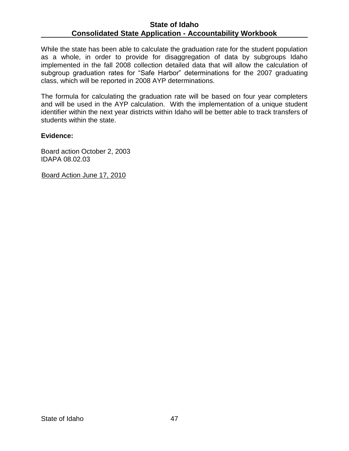While the state has been able to calculate the graduation rate for the student population as a whole, in order to provide for disaggregation of data by subgroups Idaho implemented in the fall 2008 collection detailed data that will allow the calculation of subgroup graduation rates for "Safe Harbor" determinations for the 2007 graduating class, which will be reported in 2008 AYP determinations.

The formula for calculating the graduation rate will be based on four year completers and will be used in the AYP calculation. With the implementation of a unique student identifier within the next year districts within Idaho will be better able to track transfers of students within the state.

### **Evidence:**

Board action October 2, 2003 IDAPA 08.02.03

Board Action June 17, 2010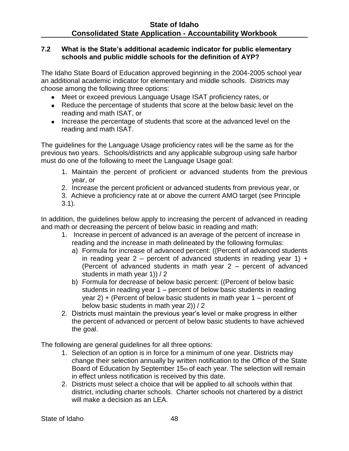## **7.2 What is the State's additional academic indicator for public elementary schools and public middle schools for the definition of AYP?**

The Idaho State Board of Education approved beginning in the 2004-2005 school year an additional academic indicator for elementary and middle schools. Districts may choose among the following three options:

- Meet or exceed previous Language Usage ISAT proficiency rates, or
- Reduce the percentage of students that score at the below basic level on the reading and math ISAT, or
- Increase the percentage of students that score at the advanced level on the reading and math ISAT.

The guidelines for the Language Usage proficiency rates will be the same as for the previous two years. Schools/districts and any applicable subgroup using safe harbor must do one of the following to meet the Language Usage goal:

- 1. Maintain the percent of proficient or advanced students from the previous year, or
- 2. Increase the percent proficient or advanced students from previous year, or
- 3. Achieve a proficiency rate at or above the current AMO target (see Principle 3.1).

In addition, the guidelines below apply to increasing the percent of advanced in reading and math or decreasing the percent of below basic in reading and math:

- 1. Increase in percent of advanced is an average of the percent of increase in reading and the increase in math delineated by the following formulas:
	- a) Formula for increase of advanced percent: ((Percent of advanced students in reading year  $2$  – percent of advanced students in reading year 1) + (Percent of advanced students in math year 2 – percent of advanced students in math year 1)) / 2
	- b) Formula for decrease of below basic percent: ((Percent of below basic students in reading year 1 – percent of below basic students in reading year 2) + (Percent of below basic students in math year 1 – percent of below basic students in math year 2)) / 2
- 2. Districts must maintain the previous year's level or make progress in either the percent of advanced or percent of below basic students to have achieved the goal.

The following are general guidelines for all three options:

- 1. Selection of an option is in force for a minimum of one year. Districts may change their selection annually by written notification to the Office of the State Board of Education by September 15th of each year. The selection will remain in effect unless notification is received by this date.
- 2. Districts must select a choice that will be applied to all schools within that district, including charter schools. Charter schools not chartered by a district will make a decision as an LEA.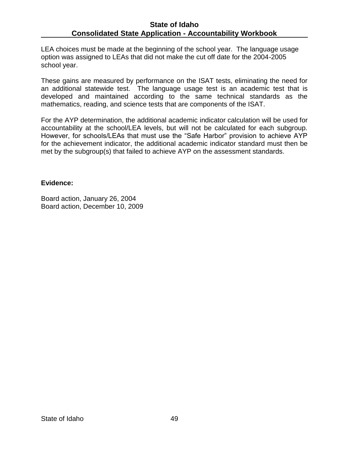LEA choices must be made at the beginning of the school year. The language usage option was assigned to LEAs that did not make the cut off date for the 2004-2005 school year.

These gains are measured by performance on the ISAT tests, eliminating the need for an additional statewide test. The language usage test is an academic test that is developed and maintained according to the same technical standards as the mathematics, reading, and science tests that are components of the ISAT.

For the AYP determination, the additional academic indicator calculation will be used for accountability at the school/LEA levels, but will not be calculated for each subgroup. However, for schools/LEAs that must use the "Safe Harbor" provision to achieve AYP for the achievement indicator, the additional academic indicator standard must then be met by the subgroup(s) that failed to achieve AYP on the assessment standards.

### **Evidence:**

Board action, January 26, 2004 Board action, December 10, 2009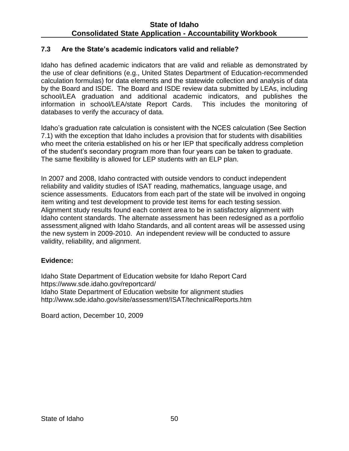## **7.3 Are the State's academic indicators valid and reliable?**

Idaho has defined academic indicators that are valid and reliable as demonstrated by the use of clear definitions (e.g., United States Department of Education-recommended calculation formulas) for data elements and the statewide collection and analysis of data by the Board and ISDE. The Board and ISDE review data submitted by LEAs, including school/LEA graduation and additional academic indicators, and publishes the information in school/LEA/state Report Cards. This includes the monitoring of databases to verify the accuracy of data.

Idaho's graduation rate calculation is consistent with the NCES calculation (See Section 7.1) with the exception that Idaho includes a provision that for students with disabilities who meet the criteria established on his or her IEP that specifically address completion of the student's secondary program more than four years can be taken to graduate. The same flexibility is allowed for LEP students with an ELP plan.

In 2007 and 2008, Idaho contracted with outside vendors to conduct independent reliability and validity studies of ISAT reading, mathematics, language usage, and science assessments. Educators from each part of the state will be involved in ongoing item writing and test development to provide test items for each testing session. Alignment study results found each content area to be in satisfactory alignment with Idaho content standards. The alternate assessment has been redesigned as a portfolio assessment aligned with Idaho Standards, and all content areas will be assessed using the new system in 2009-2010. An independent review will be conducted to assure validity, reliability, and alignment.

### **Evidence:**

Idaho State Department of Education website for Idaho Report Card https://www.sde.idaho.gov/reportcard/ Idaho State Department of Education website for alignment studies <http://www.sde.idaho.gov/site/assessment/ISAT/technicalReports.htm>

Board action, December 10, 2009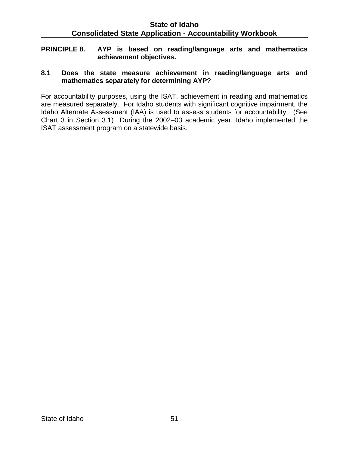**PRINCIPLE 8. AYP is based on reading/language arts and mathematics achievement objectives.**

## **8.1 Does the state measure achievement in reading/language arts and mathematics separately for determining AYP?**

For accountability purposes, using the ISAT, achievement in reading and mathematics are measured separately. For Idaho students with significant cognitive impairment, the Idaho Alternate Assessment (IAA) is used to assess students for accountability. (See Chart 3 in Section 3.1) During the 2002–03 academic year, Idaho implemented the ISAT assessment program on a statewide basis.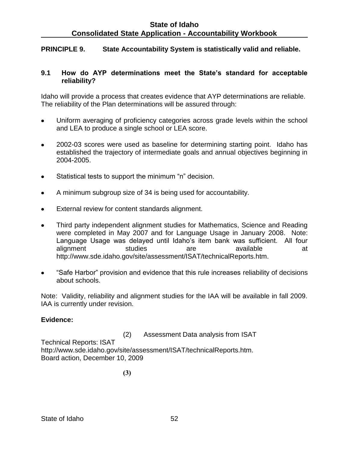## **PRINCIPLE 9. State Accountability System is statistically valid and reliable.**

#### **9.1 How do AYP determinations meet the State's standard for acceptable reliability?**

Idaho will provide a process that creates evidence that AYP determinations are reliable. The reliability of the Plan determinations will be assured through:

- Uniform averaging of proficiency categories across grade levels within the school and LEA to produce a single school or LEA score.
- 2002-03 scores were used as baseline for determining starting point. Idaho has  $\bullet$ established the trajectory of intermediate goals and annual objectives beginning in 2004-2005.
- Statistical tests to support the minimum "n" decision.  $\bullet$
- A minimum subgroup size of 34 is being used for accountability.  $\bullet$
- External review for content standards alignment.  $\bullet$
- Third party independent alignment studies for Mathematics, Science and Reading  $\bullet$ were completed in May 2007 and for Language Usage in January 2008. Note: Language Usage was delayed until Idaho's item bank was sufficient. All four alignment studies are available at http://www.sde.idaho.gov/site/assessment/ISAT/technicalReports.htm.
- "Safe Harbor" provision and evidence that this rule increases reliability of decisions about schools.

Note: Validity, reliability and alignment studies for the IAA will be available in fall 2009. IAA is currently under revision.

### **Evidence:**

(2) Assessment Data analysis from ISAT Technical Reports: ISAT http://www.sde.idaho.gov/site/assessment/ISAT/technicalReports.htm. Board action, December 10, 2009

**(3)**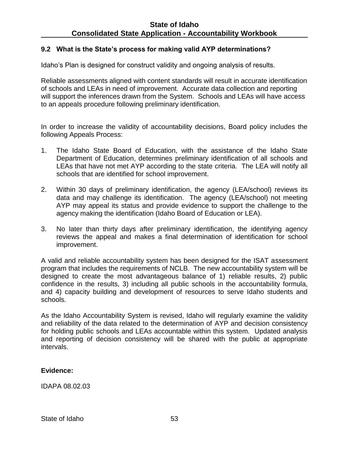## **9.2 What is the State's process for making valid AYP determinations?**

Idaho's Plan is designed for construct validity and ongoing analysis of results.

Reliable assessments aligned with content standards will result in accurate identification of schools and LEAs in need of improvement. Accurate data collection and reporting will support the inferences drawn from the System. Schools and LEAs will have access to an appeals procedure following preliminary identification.

In order to increase the validity of accountability decisions, Board policy includes the following Appeals Process:

- 1. The Idaho State Board of Education, with the assistance of the Idaho State Department of Education, determines preliminary identification of all schools and LEAs that have not met AYP according to the state criteria. The LEA will notify all schools that are identified for school improvement.
- 2. Within 30 days of preliminary identification, the agency (LEA/school) reviews its data and may challenge its identification. The agency (LEA/school) not meeting AYP may appeal its status and provide evidence to support the challenge to the agency making the identification (Idaho Board of Education or LEA).
- 3. No later than thirty days after preliminary identification, the identifying agency reviews the appeal and makes a final determination of identification for school improvement.

A valid and reliable accountability system has been designed for the ISAT assessment program that includes the requirements of NCLB. The new accountability system will be designed to create the most advantageous balance of 1) reliable results, 2) public confidence in the results, 3) including all public schools in the accountability formula, and 4) capacity building and development of resources to serve Idaho students and schools.

As the Idaho Accountability System is revised, Idaho will regularly examine the validity and reliability of the data related to the determination of AYP and decision consistency for holding public schools and LEAs accountable within this system. Updated analysis and reporting of decision consistency will be shared with the public at appropriate intervals.

### **Evidence:**

IDAPA 08.02.03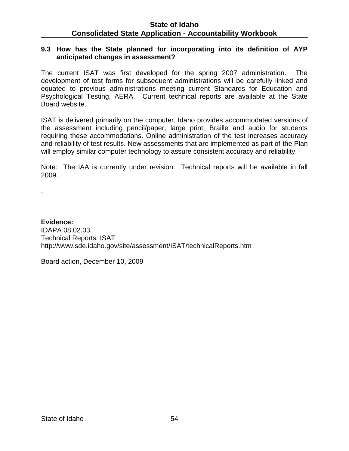### **9.3 How has the State planned for incorporating into its definition of AYP anticipated changes in assessment?**

The current ISAT was first developed for the spring 2007 administration. The development of test forms for subsequent administrations will be carefully linked and equated to previous administrations meeting current Standards for Education and Psychological Testing, AERA. Current technical reports are available at the State Board website.

ISAT is delivered primarily on the computer. Idaho provides accommodated versions of the assessment including pencil/paper, large print, Braille and audio for students requiring these accommodations. Online administration of the test increases accuracy and reliability of test results. New assessments that are implemented as part of the Plan will employ similar computer technology to assure consistent accuracy and reliability.

Note: The IAA is currently under revision. Technical reports will be available in fall 2009.

**Evidence:** IDAPA 08.02.03 Technical Reports: ISAT http://www.sde.idaho.gov/site/assessment/ISAT/technicalReports.htm

Board action, December 10, 2009

.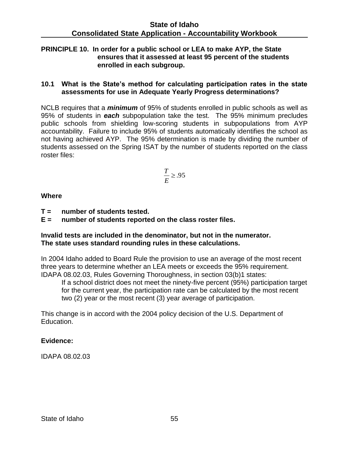## **PRINCIPLE 10. In order for a public school or LEA to make AYP, the State ensures that it assessed at least 95 percent of the students enrolled in each subgroup.**

#### **10.1 What is the State's method for calculating participation rates in the state assessments for use in Adequate Yearly Progress determinations?**

NCLB requires that a *minimum* of 95% of students enrolled in public schools as well as 95% of students in *each* subpopulation take the test. The 95% minimum precludes public schools from shielding low-scoring students in subpopulations from AYP accountability. Failure to include 95% of students automatically identifies the school as not having achieved AYP. The 95% determination is made by dividing the number of students assessed on the Spring ISAT by the number of students reported on the class roster files:

$$
\frac{T}{E} \ge .95
$$

**Where**

- **T = number of students tested.**
- **E = number of students reported on the class roster files.**

### **Invalid tests are included in the denominator, but not in the numerator. The state uses standard rounding rules in these calculations.**

In 2004 Idaho added to Board Rule the provision to use an average of the most recent three years to determine whether an LEA meets or exceeds the 95% requirement. IDAPA 08.02.03, Rules Governing Thoroughness, in section 03(b)1 states:

If a school district does not meet the ninety-five percent (95%) participation target for the current year, the participation rate can be calculated by the most recent two (2) year or the most recent (3) year average of participation.

This change is in accord with the 2004 policy decision of the U.S. Department of Education.

## **Evidence:**

IDAPA 08.02.03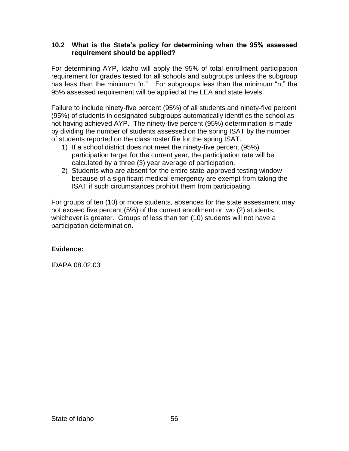## **10.2 What is the State's policy for determining when the 95% assessed requirement should be applied?**

For determining AYP, Idaho will apply the 95% of total enrollment participation requirement for grades tested for all schools and subgroups unless the subgroup has less than the minimum "n." For subgroups less than the minimum "n," the 95% assessed requirement will be applied at the LEA and state levels.

Failure to include ninety-five percent (95%) of all students and ninety-five percent (95%) of students in designated subgroups automatically identifies the school as not having achieved AYP. The ninety-five percent (95%) determination is made by dividing the number of students assessed on the spring ISAT by the number of students reported on the class roster file for the spring ISAT.

- 1) If a school district does not meet the ninety-five percent (95%) participation target for the current year, the participation rate will be calculated by a three (3) year average of participation.
- 2) Students who are absent for the entire state-approved testing window because of a significant medical emergency are exempt from taking the ISAT if such circumstances prohibit them from participating.

For groups of ten (10) or more students, absences for the state assessment may not exceed five percent (5%) of the current enrollment or two (2) students, whichever is greater. Groups of less than ten (10) students will not have a participation determination.

## **Evidence:**

IDAPA 08.02.03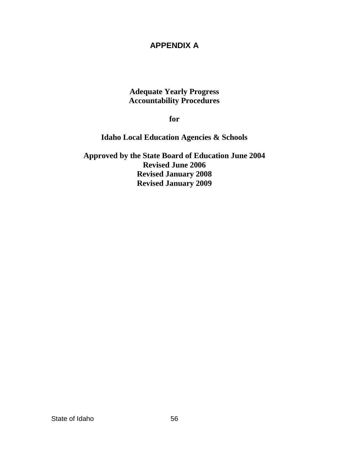# **APPENDIX A**

# **Adequate Yearly Progress Accountability Procedures**

**for** 

**Idaho Local Education Agencies & Schools** 

**Approved by the State Board of Education June 2004 Revised June 2006 Revised January 2008 Revised January 2009**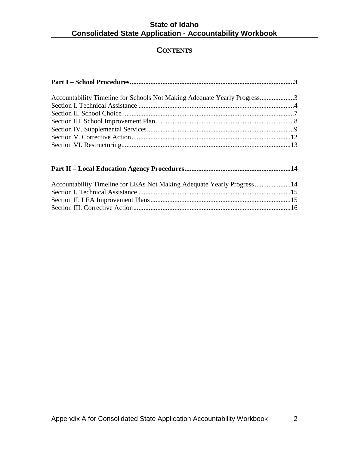# **CONTENTS**

| Accountability Timeline for Schools Not Making Adequate Yearly Progress3 |  |
|--------------------------------------------------------------------------|--|
|                                                                          |  |
|                                                                          |  |
|                                                                          |  |
|                                                                          |  |
|                                                                          |  |
|                                                                          |  |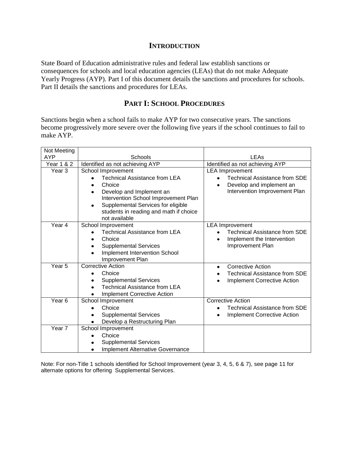#### **INTRODUCTION**

State Board of Education administrative rules and federal law establish sanctions or consequences for schools and local education agencies (LEAs) that do not make Adequate Yearly Progress (AYP). Part I of this document details the sanctions and procedures for schools. Part II details the sanctions and procedures for LEAs.

## **PART I: SCHOOL PROCEDURES**

Sanctions begin when a school fails to make AYP for two consecutive years. The sanctions become progressively more severe over the following five years if the school continues to fail to make AYP.

| Not Meeting           |                                                                                                                                          |                                                                                                                                          |
|-----------------------|------------------------------------------------------------------------------------------------------------------------------------------|------------------------------------------------------------------------------------------------------------------------------------------|
| <b>AYP</b>            | Schools                                                                                                                                  | LEAs                                                                                                                                     |
| <b>Year 1 &amp; 2</b> | Identified as not achieving AYP                                                                                                          | Identified as not achieving AYP                                                                                                          |
| Year <sub>3</sub>     | School Improvement<br><b>Technical Assistance from LEA</b><br>Choice<br>Develop and Implement an<br>Intervention School Improvement Plan | <b>LEA</b> Improvement<br><b>Technical Assistance from SDE</b><br>Develop and implement an<br>$\bullet$<br>Intervention Improvement Plan |
|                       | Supplemental Services for eligible<br>students in reading and math if choice<br>not available                                            |                                                                                                                                          |
| Year $\overline{4}$   | School Improvement                                                                                                                       | <b>LEA</b> Improvement                                                                                                                   |
|                       | <b>Technical Assistance from LEA</b>                                                                                                     | <b>Technical Assistance from SDE</b>                                                                                                     |
|                       | Choice                                                                                                                                   | Implement the Intervention                                                                                                               |
|                       | <b>Supplemental Services</b>                                                                                                             | Improvement Plan                                                                                                                         |
|                       | Implement Intervention School<br>$\bullet$                                                                                               |                                                                                                                                          |
|                       | Improvement Plan                                                                                                                         |                                                                                                                                          |
| Year <sub>5</sub>     | <b>Corrective Action</b>                                                                                                                 | <b>Corrective Action</b><br>$\bullet$                                                                                                    |
|                       | Choice                                                                                                                                   | <b>Technical Assistance from SDE</b>                                                                                                     |
|                       | <b>Supplemental Services</b>                                                                                                             | <b>Implement Corrective Action</b>                                                                                                       |
|                       | <b>Technical Assistance from LEA</b>                                                                                                     |                                                                                                                                          |
| Year <sub>6</sub>     | <b>Implement Corrective Action</b>                                                                                                       | <b>Corrective Action</b>                                                                                                                 |
|                       | School Improvement<br>Choice                                                                                                             | <b>Technical Assistance from SDE</b>                                                                                                     |
|                       | <b>Supplemental Services</b>                                                                                                             | <b>Implement Corrective Action</b>                                                                                                       |
|                       | Develop a Restructuring Plan<br>$\bullet$                                                                                                |                                                                                                                                          |
| Year <sub>7</sub>     | School Improvement                                                                                                                       |                                                                                                                                          |
|                       | Choice                                                                                                                                   |                                                                                                                                          |
|                       | <b>Supplemental Services</b>                                                                                                             |                                                                                                                                          |
|                       | <b>Implement Alternative Governance</b>                                                                                                  |                                                                                                                                          |

Note: For non-Title 1 schools identified for School Improvement (year 3, 4, 5, 6 & 7), see page 11 for alternate options for offering Supplemental Services.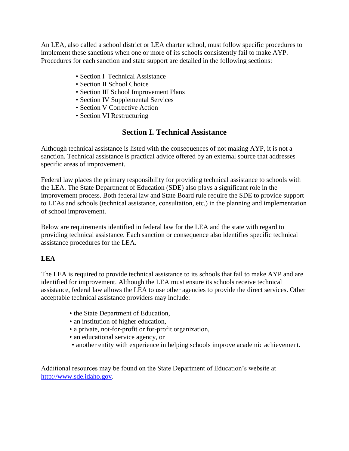An LEA, also called a school district or LEA charter school, must follow specific procedures to implement these sanctions when one or more of its schools consistently fail to make AYP. Procedures for each sanction and state support are detailed in the following sections:

- Section I Technical Assistance
- Section II School Choice
- Section III School Improvement Plans
- Section IV Supplemental Services
- Section V Corrective Action
- Section VI Restructuring

# **Section I. Technical Assistance**

Although technical assistance is listed with the consequences of not making AYP, it is not a sanction. Technical assistance is practical advice offered by an external source that addresses specific areas of improvement.

Federal law places the primary responsibility for providing technical assistance to schools with the LEA. The State Department of Education (SDE) also plays a significant role in the improvement process. Both federal law and State Board rule require the SDE to provide support to LEAs and schools (technical assistance, consultation, etc.) in the planning and implementation of school improvement.

Below are requirements identified in federal law for the LEA and the state with regard to providing technical assistance. Each sanction or consequence also identifies specific technical assistance procedures for the LEA.

## **LEA**

The LEA is required to provide technical assistance to its schools that fail to make AYP and are identified for improvement. Although the LEA must ensure its schools receive technical assistance, federal law allows the LEA to use other agencies to provide the direct services. Other acceptable technical assistance providers may include:

- the State Department of Education,
- an institution of higher education,
- a private, not-for-profit or for-profit organization,
- an educational service agency, or
- another entity with experience in helping schools improve academic achievement.

Additional resources may be found on the State Department of Education's website at http://www.sde.idaho.gov.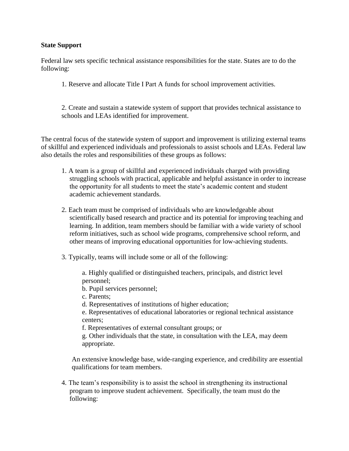#### **State Support**

Federal law sets specific technical assistance responsibilities for the state. States are to do the following:

1. Reserve and allocate Title I Part A funds for school improvement activities.

2. Create and sustain a statewide system of support that provides technical assistance to schools and LEAs identified for improvement.

The central focus of the statewide system of support and improvement is utilizing external teams of skillful and experienced individuals and professionals to assist schools and LEAs. Federal law also details the roles and responsibilities of these groups as follows:

- 1. A team is a group of skillful and experienced individuals charged with providing struggling schools with practical, applicable and helpful assistance in order to increase the opportunity for all students to meet the state's academic content and student academic achievement standards.
- 2. Each team must be comprised of individuals who are knowledgeable about scientifically based research and practice and its potential for improving teaching and learning. In addition, team members should be familiar with a wide variety of school reform initiatives, such as school wide programs, comprehensive school reform, and other means of improving educational opportunities for low-achieving students.
- 3. Typically, teams will include some or all of the following:

a. Highly qualified or distinguished teachers, principals, and district level personnel;

b. Pupil services personnel;

c. Parents;

d. Representatives of institutions of higher education;

e. Representatives of educational laboratories or regional technical assistance centers;

f. Representatives of external consultant groups; or

g. Other individuals that the state, in consultation with the LEA, may deem appropriate.

An extensive knowledge base, wide-ranging experience, and credibility are essential qualifications for team members.

4. The team's responsibility is to assist the school in strengthening its instructional program to improve student achievement. Specifically, the team must do the following: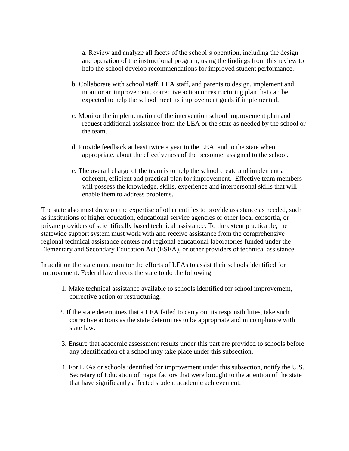a. Review and analyze all facets of the school's operation, including the design and operation of the instructional program, using the findings from this review to help the school develop recommendations for improved student performance.

- b. Collaborate with school staff, LEA staff, and parents to design, implement and monitor an improvement, corrective action or restructuring plan that can be expected to help the school meet its improvement goals if implemented.
- c. Monitor the implementation of the intervention school improvement plan and request additional assistance from the LEA or the state as needed by the school or the team.
- d. Provide feedback at least twice a year to the LEA, and to the state when appropriate, about the effectiveness of the personnel assigned to the school.
- e. The overall charge of the team is to help the school create and implement a coherent, efficient and practical plan for improvement. Effective team members will possess the knowledge, skills, experience and interpersonal skills that will enable them to address problems.

The state also must draw on the expertise of other entities to provide assistance as needed, such as institutions of higher education, educational service agencies or other local consortia, or private providers of scientifically based technical assistance. To the extent practicable, the statewide support system must work with and receive assistance from the comprehensive regional technical assistance centers and regional educational laboratories funded under the Elementary and Secondary Education Act (ESEA), or other providers of technical assistance.

In addition the state must monitor the efforts of LEAs to assist their schools identified for improvement. Federal law directs the state to do the following:

- 1. Make technical assistance available to schools identified for school improvement, corrective action or restructuring.
- 2. If the state determines that a LEA failed to carry out its responsibilities, take such corrective actions as the state determines to be appropriate and in compliance with state law.
- 3. Ensure that academic assessment results under this part are provided to schools before any identification of a school may take place under this subsection.
- 4. For LEAs or schools identified for improvement under this subsection, notify the U.S. Secretary of Education of major factors that were brought to the attention of the state that have significantly affected student academic achievement.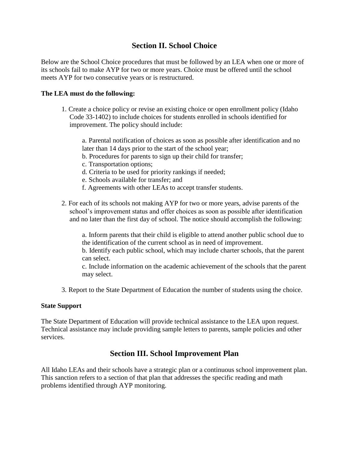# **Section II. School Choice**

Below are the School Choice procedures that must be followed by an LEA when one or more of its schools fail to make AYP for two or more years. Choice must be offered until the school meets AYP for two consecutive years or is restructured.

### **The LEA must do the following:**

- 1. Create a choice policy or revise an existing choice or open enrollment policy (Idaho Code 33-1402) to include choices for students enrolled in schools identified for improvement. The policy should include:
	- a. Parental notification of choices as soon as possible after identification and no later than 14 days prior to the start of the school year;
	- b. Procedures for parents to sign up their child for transfer;
	- c. Transportation options;
	- d. Criteria to be used for priority rankings if needed;
	- e. Schools available for transfer; and
	- f. Agreements with other LEAs to accept transfer students.
- 2. For each of its schools not making AYP for two or more years, advise parents of the school's improvement status and offer choices as soon as possible after identification and no later than the first day of school. The notice should accomplish the following:

a. Inform parents that their child is eligible to attend another public school due to the identification of the current school as in need of improvement.

b. Identify each public school, which may include charter schools, that the parent can select.

c. Include information on the academic achievement of the schools that the parent may select.

3. Report to the State Department of Education the number of students using the choice.

### **State Support**

The State Department of Education will provide technical assistance to the LEA upon request. Technical assistance may include providing sample letters to parents, sample policies and other services.

# **Section III. School Improvement Plan**

All Idaho LEAs and their schools have a strategic plan or a continuous school improvement plan. This sanction refers to a section of that plan that addresses the specific reading and math problems identified through AYP monitoring.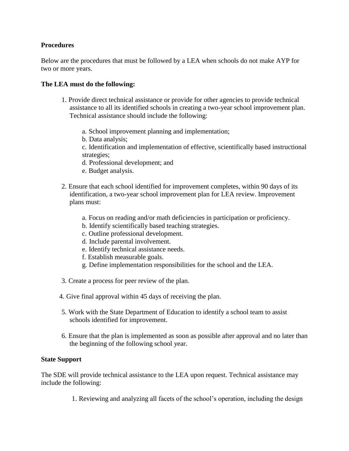#### **Procedures**

Below are the procedures that must be followed by a LEA when schools do not make AYP for two or more years.

#### **The LEA must do the following:**

- 1. Provide direct technical assistance or provide for other agencies to provide technical assistance to all its identified schools in creating a two-year school improvement plan. Technical assistance should include the following:
	- a. School improvement planning and implementation;
	- b. Data analysis;

c. Identification and implementation of effective, scientifically based instructional strategies;

- d. Professional development; and
- e. Budget analysis.
- 2. Ensure that each school identified for improvement completes, within 90 days of its identification, a two-year school improvement plan for LEA review. Improvement plans must:
	- a. Focus on reading and/or math deficiencies in participation or proficiency.
	- b. Identify scientifically based teaching strategies.
	- c. Outline professional development.
	- d. Include parental involvement.
	- e. Identify technical assistance needs.
	- f. Establish measurable goals.
	- g. Define implementation responsibilities for the school and the LEA.
- 3. Create a process for peer review of the plan.
- 4. Give final approval within 45 days of receiving the plan.
- 5. Work with the State Department of Education to identify a school team to assist schools identified for improvement.
- 6. Ensure that the plan is implemented as soon as possible after approval and no later than the beginning of the following school year.

#### **State Support**

The SDE will provide technical assistance to the LEA upon request. Technical assistance may include the following:

1. Reviewing and analyzing all facets of the school's operation, including the design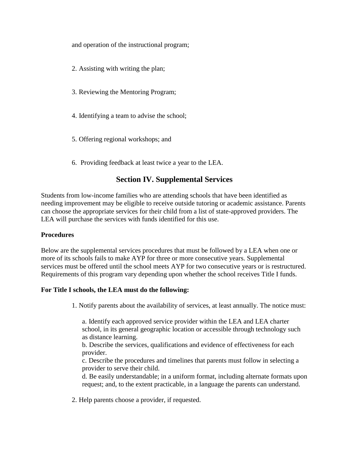and operation of the instructional program;

- 2. Assisting with writing the plan;
- 3. Reviewing the Mentoring Program;
- 4. Identifying a team to advise the school;
- 5. Offering regional workshops; and
- 6. Providing feedback at least twice a year to the LEA.

# **Section IV. Supplemental Services**

Students from low-income families who are attending schools that have been identified as needing improvement may be eligible to receive outside tutoring or academic assistance. Parents can choose the appropriate services for their child from a list of state-approved providers. The LEA will purchase the services with funds identified for this use.

### **Procedures**

Below are the supplemental services procedures that must be followed by a LEA when one or more of its schools fails to make AYP for three or more consecutive years. Supplemental services must be offered until the school meets AYP for two consecutive years or is restructured. Requirements of this program vary depending upon whether the school receives Title I funds.

### **For Title I schools, the LEA must do the following:**

1. Notify parents about the availability of services, at least annually. The notice must:

a. Identify each approved service provider within the LEA and LEA charter school, in its general geographic location or accessible through technology such as distance learning.

b. Describe the services, qualifications and evidence of effectiveness for each provider.

c. Describe the procedures and timelines that parents must follow in selecting a provider to serve their child.

d. Be easily understandable; in a uniform format, including alternate formats upon request; and, to the extent practicable, in a language the parents can understand.

2. Help parents choose a provider, if requested.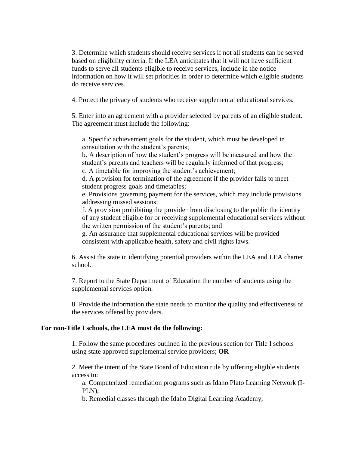3. Determine which students should receive services if not all students can be served based on eligibility criteria. If the LEA anticipates that it will not have sufficient funds to serve all students eligible to receive services, include in the notice information on how it will set priorities in order to determine which eligible students do receive services.

4. Protect the privacy of students who receive supplemental educational services.

5. Enter into an agreement with a provider selected by parents of an eligible student. The agreement must include the following:

a. Specific achievement goals for the student, which must be developed in consultation with the student's parents;

b. A description of how the student's progress will be measured and how the student's parents and teachers will be regularly informed of that progress;

c. A timetable for improving the student's achievement;

d. A provision for termination of the agreement if the provider fails to meet student progress goals and timetables;

e. Provisions governing payment for the services, which may include provisions addressing missed sessions;

f. A provision prohibiting the provider from disclosing to the public the identity of any student eligible for or receiving supplemental educational services without the written permission of the student's parents; and

g. An assurance that supplemental educational services will be provided consistent with applicable health, safety and civil rights laws.

6. Assist the state in identifying potential providers within the LEA and LEA charter school.

7. Report to the State Department of Education the number of students using the supplemental services option.

8. Provide the information the state needs to monitor the quality and effectiveness of the services offered by providers.

#### **For non-Title I schools, the LEA must do the following:**

1. Follow the same procedures outlined in the previous section for Title I schools using state approved supplemental service providers; **OR** 

2. Meet the intent of the State Board of Education rule by offering eligible students access to:

a. Computerized remediation programs such as Idaho Plato Learning Network (I-PLN);

b. Remedial classes through the Idaho Digital Learning Academy;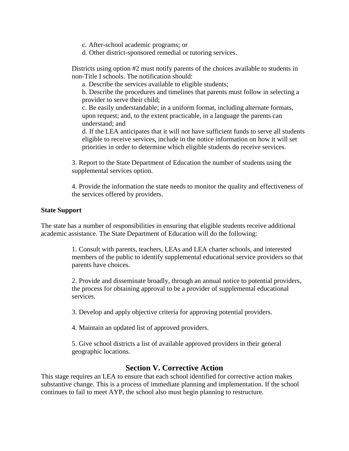- c. After-school academic programs; or
- d. Other district-sponsored remedial or tutoring services.

Districts using option #2 must notify parents of the choices available to students in non-Title I schools. The notification should:

a. Describe the services available to eligible students;

b. Describe the procedures and timelines that parents must follow in selecting a provider to serve their child;

c. Be easily understandable; in a uniform format, including alternate formats, upon request; and, to the extent practicable, in a language the parents can understand; and

d. If the LEA anticipates that it will not have sufficient funds to serve all students eligible to receive services, include in the notice information on how it will set priorities in order to determine which eligible students do receive services.

3. Report to the State Department of Education the number of students using the supplemental services option.

4. Provide the information the state needs to monitor the quality and effectiveness of the services offered by providers.

#### **State Support**

The state has a number of responsibilities in ensuring that eligible students receive additional academic assistance. The State Department of Education will do the following:

> 1. Consult with parents, teachers, LEAs and LEA charter schools, and interested members of the public to identify supplemental educational service providers so that parents have choices.

> 2. Provide and disseminate broadly, through an annual notice to potential providers, the process for obtaining approval to be a provider of supplemental educational services.

3. Develop and apply objective criteria for approving potential providers.

4. Maintain an updated list of approved providers.

5. Give school districts a list of available approved providers in their general geographic locations.

### **Section V. Corrective Action**

This stage requires an LEA to ensure that each school identified for corrective action makes substantive change. This is a process of immediate planning and implementation. If the school continues to fail to meet AYP, the school also must begin planning to restructure.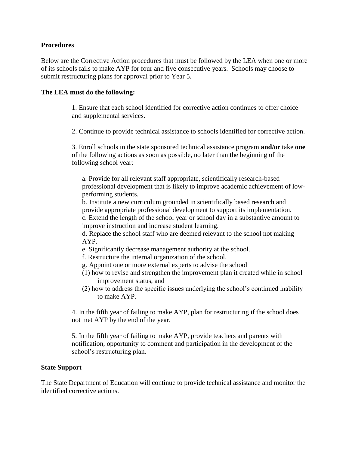#### **Procedures**

Below are the Corrective Action procedures that must be followed by the LEA when one or more of its schools fails to make AYP for four and five consecutive years. Schools may choose to submit restructuring plans for approval prior to Year 5.

#### **The LEA must do the following:**

1. Ensure that each school identified for corrective action continues to offer choice and supplemental services.

2. Continue to provide technical assistance to schools identified for corrective action.

3. Enroll schools in the state sponsored technical assistance program **and/or** take **one** of the following actions as soon as possible, no later than the beginning of the following school year:

a. Provide for all relevant staff appropriate, scientifically research-based professional development that is likely to improve academic achievement of lowperforming students.

b. Institute a new curriculum grounded in scientifically based research and provide appropriate professional development to support its implementation. c. Extend the length of the school year or school day in a substantive amount to improve instruction and increase student learning.

d. Replace the school staff who are deemed relevant to the school not making AYP.

- e. Significantly decrease management authority at the school.
- f. Restructure the internal organization of the school.
- g. Appoint one or more external experts to advise the school
- (1) how to revise and strengthen the improvement plan it created while in school improvement status, and
- (2) how to address the specific issues underlying the school's continued inability to make AYP.

4. In the fifth year of failing to make AYP, plan for restructuring if the school does not met AYP by the end of the year.

5. In the fifth year of failing to make AYP, provide teachers and parents with notification, opportunity to comment and participation in the development of the school's restructuring plan.

#### **State Support**

The State Department of Education will continue to provide technical assistance and monitor the identified corrective actions.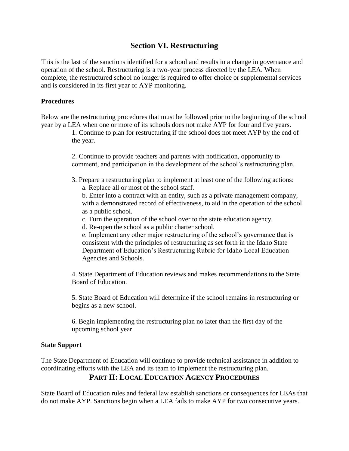# **Section VI. Restructuring**

This is the last of the sanctions identified for a school and results in a change in governance and operation of the school. Restructuring is a two-year process directed by the LEA. When complete, the restructured school no longer is required to offer choice or supplemental services and is considered in its first year of AYP monitoring.

### **Procedures**

Below are the restructuring procedures that must be followed prior to the beginning of the school year by a LEA when one or more of its schools does not make AYP for four and five years.

> 1. Continue to plan for restructuring if the school does not meet AYP by the end of the year.

2. Continue to provide teachers and parents with notification, opportunity to comment, and participation in the development of the school's restructuring plan.

- 3. Prepare a restructuring plan to implement at least one of the following actions:
	- a. Replace all or most of the school staff.

b. Enter into a contract with an entity, such as a private management company, with a demonstrated record of effectiveness, to aid in the operation of the school as a public school.

c. Turn the operation of the school over to the state education agency.

d. Re-open the school as a public charter school.

e. Implement any other major restructuring of the school's governance that is consistent with the principles of restructuring as set forth in the Idaho State Department of Education's Restructuring Rubric for Idaho Local Education Agencies and Schools.

4. State Department of Education reviews and makes recommendations to the State Board of Education.

5. State Board of Education will determine if the school remains in restructuring or begins as a new school.

6. Begin implementing the restructuring plan no later than the first day of the upcoming school year.

#### **State Support**

The State Department of Education will continue to provide technical assistance in addition to coordinating efforts with the LEA and its team to implement the restructuring plan.

# **PART II: LOCAL EDUCATION AGENCY PROCEDURES**

State Board of Education rules and federal law establish sanctions or consequences for LEAs that do not make AYP. Sanctions begin when a LEA fails to make AYP for two consecutive years.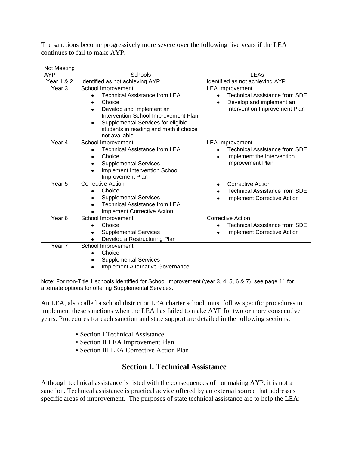The sanctions become progressively more severe over the following five years if the LEA continues to fail to make AYP.

| Not Meeting           |                                         |                                                 |
|-----------------------|-----------------------------------------|-------------------------------------------------|
| <b>AYP</b>            | Schools                                 | LEAs                                            |
| <b>Year 1 &amp; 2</b> | Identified as not achieving AYP         | Identified as not achieving AYP                 |
| Year <sub>3</sub>     | School Improvement                      | <b>LEA Improvement</b>                          |
|                       | <b>Technical Assistance from LEA</b>    | <b>Technical Assistance from SDE</b>            |
|                       | Choice                                  | Develop and implement an<br>$\bullet$           |
|                       | Develop and Implement an                | Intervention Improvement Plan                   |
|                       | Intervention School Improvement Plan    |                                                 |
|                       | Supplemental Services for eligible      |                                                 |
|                       | students in reading and math if choice  |                                                 |
| Year 4                | not available                           |                                                 |
|                       | School Improvement                      | <b>LEA Improvement</b>                          |
|                       | <b>Technical Assistance from LEA</b>    | <b>Technical Assistance from SDE</b>            |
|                       | Choice                                  | Implement the Intervention                      |
|                       | <b>Supplemental Services</b>            | Improvement Plan                                |
|                       | Implement Intervention School           |                                                 |
|                       | Improvement Plan                        |                                                 |
| Year <sub>5</sub>     | <b>Corrective Action</b>                | <b>Corrective Action</b>                        |
|                       | Choice                                  | <b>Technical Assistance from SDE</b>            |
|                       | <b>Supplemental Services</b>            | <b>Implement Corrective Action</b>              |
|                       | <b>Technical Assistance from LEA</b>    |                                                 |
|                       | <b>Implement Corrective Action</b>      |                                                 |
| Year <sub>6</sub>     | School Improvement                      | <b>Corrective Action</b>                        |
|                       | Choice                                  | <b>Technical Assistance from SDE</b>            |
|                       | <b>Supplemental Services</b>            | <b>Implement Corrective Action</b><br>$\bullet$ |
|                       | Develop a Restructuring Plan            |                                                 |
| Year 7                | School Improvement                      |                                                 |
|                       | Choice                                  |                                                 |
|                       | <b>Supplemental Services</b>            |                                                 |
|                       | <b>Implement Alternative Governance</b> |                                                 |

Note: For non-Title 1 schools identified for School Improvement (year 3, 4, 5, 6 & 7), see page 11 for alternate options for offering Supplemental Services.

An LEA, also called a school district or LEA charter school, must follow specific procedures to implement these sanctions when the LEA has failed to make AYP for two or more consecutive years. Procedures for each sanction and state support are detailed in the following sections:

- Section I Technical Assistance
- Section II LEA Improvement Plan
- Section III LEA Corrective Action Plan

## **Section I. Technical Assistance**

Although technical assistance is listed with the consequences of not making AYP, it is not a sanction. Technical assistance is practical advice offered by an external source that addresses specific areas of improvement. The purposes of state technical assistance are to help the LEA: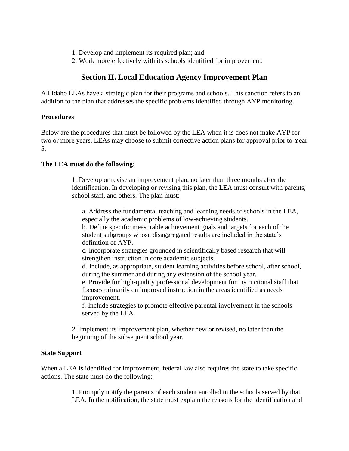- 1. Develop and implement its required plan; and
- 2. Work more effectively with its schools identified for improvement.

## **Section II. Local Education Agency Improvement Plan**

All Idaho LEAs have a strategic plan for their programs and schools. This sanction refers to an addition to the plan that addresses the specific problems identified through AYP monitoring.

#### **Procedures**

Below are the procedures that must be followed by the LEA when it is does not make AYP for two or more years. LEAs may choose to submit corrective action plans for approval prior to Year 5.

### **The LEA must do the following:**

1. Develop or revise an improvement plan, no later than three months after the identification. In developing or revising this plan, the LEA must consult with parents, school staff, and others. The plan must:

a. Address the fundamental teaching and learning needs of schools in the LEA, especially the academic problems of low-achieving students.

b. Define specific measurable achievement goals and targets for each of the student subgroups whose disaggregated results are included in the state's definition of AYP.

c. Incorporate strategies grounded in scientifically based research that will strengthen instruction in core academic subjects.

d. Include, as appropriate, student learning activities before school, after school, during the summer and during any extension of the school year.

e. Provide for high-quality professional development for instructional staff that focuses primarily on improved instruction in the areas identified as needs improvement.

f. Include strategies to promote effective parental involvement in the schools served by the LEA.

2. Implement its improvement plan, whether new or revised, no later than the beginning of the subsequent school year.

#### **State Support**

When a LEA is identified for improvement, federal law also requires the state to take specific actions. The state must do the following:

> 1. Promptly notify the parents of each student enrolled in the schools served by that LEA. In the notification, the state must explain the reasons for the identification and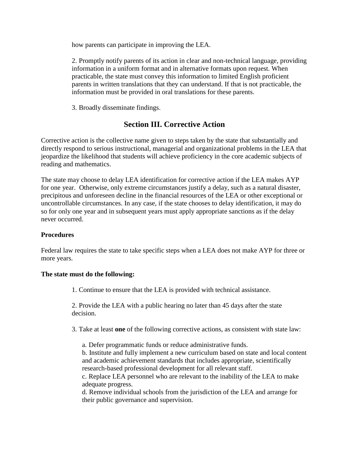how parents can participate in improving the LEA.

2. Promptly notify parents of its action in clear and non-technical language, providing information in a uniform format and in alternative formats upon request. When practicable, the state must convey this information to limited English proficient parents in written translations that they can understand. If that is not practicable, the information must be provided in oral translations for these parents.

3. Broadly disseminate findings.

# **Section III. Corrective Action**

Corrective action is the collective name given to steps taken by the state that substantially and directly respond to serious instructional, managerial and organizational problems in the LEA that jeopardize the likelihood that students will achieve proficiency in the core academic subjects of reading and mathematics.

The state may choose to delay LEA identification for corrective action if the LEA makes AYP for one year. Otherwise, only extreme circumstances justify a delay, such as a natural disaster, precipitous and unforeseen decline in the financial resources of the LEA or other exceptional or uncontrollable circumstances. In any case, if the state chooses to delay identification, it may do so for only one year and in subsequent years must apply appropriate sanctions as if the delay never occurred.

### **Procedures**

Federal law requires the state to take specific steps when a LEA does not make AYP for three or more years.

#### **The state must do the following:**

1. Continue to ensure that the LEA is provided with technical assistance.

2. Provide the LEA with a public hearing no later than 45 days after the state decision.

3. Take at least **one** of the following corrective actions, as consistent with state law:

a. Defer programmatic funds or reduce administrative funds.

b. Institute and fully implement a new curriculum based on state and local content and academic achievement standards that includes appropriate, scientifically research-based professional development for all relevant staff.

c. Replace LEA personnel who are relevant to the inability of the LEA to make adequate progress.

d. Remove individual schools from the jurisdiction of the LEA and arrange for their public governance and supervision.